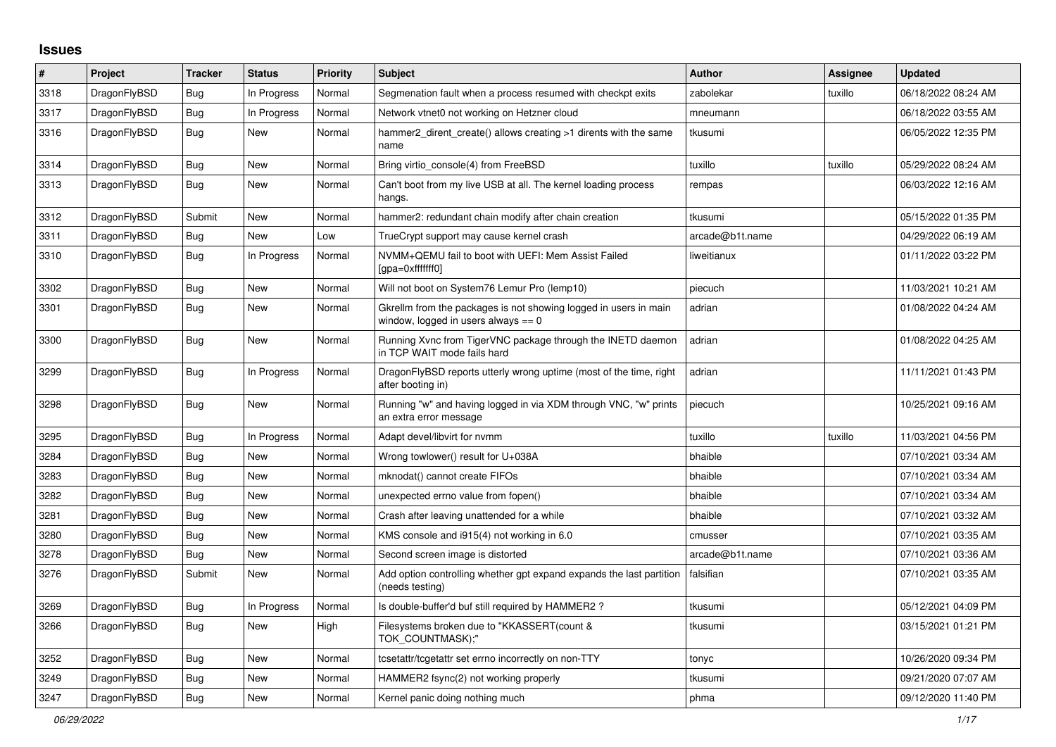## **Issues**

| #    | Project      | <b>Tracker</b> | <b>Status</b> | <b>Priority</b> | <b>Subject</b>                                                                                            | <b>Author</b>   | Assignee | <b>Updated</b>      |
|------|--------------|----------------|---------------|-----------------|-----------------------------------------------------------------------------------------------------------|-----------------|----------|---------------------|
| 3318 | DragonFlyBSD | Bug            | In Progress   | Normal          | Segmenation fault when a process resumed with checkpt exits                                               | zabolekar       | tuxillo  | 06/18/2022 08:24 AM |
| 3317 | DragonFlyBSD | <b>Bug</b>     | In Progress   | Normal          | Network vtnet0 not working on Hetzner cloud                                                               | mneumann        |          | 06/18/2022 03:55 AM |
| 3316 | DragonFlyBSD | <b>Bug</b>     | New           | Normal          | hammer2_dirent_create() allows creating >1 dirents with the same<br>name                                  | tkusumi         |          | 06/05/2022 12:35 PM |
| 3314 | DragonFlyBSD | Bug            | New           | Normal          | Bring virtio console(4) from FreeBSD                                                                      | tuxillo         | tuxillo  | 05/29/2022 08:24 AM |
| 3313 | DragonFlyBSD | Bug            | New           | Normal          | Can't boot from my live USB at all. The kernel loading process<br>hangs.                                  | rempas          |          | 06/03/2022 12:16 AM |
| 3312 | DragonFlyBSD | Submit         | New           | Normal          | hammer2: redundant chain modify after chain creation                                                      | tkusumi         |          | 05/15/2022 01:35 PM |
| 3311 | DragonFlyBSD | <b>Bug</b>     | New           | Low             | TrueCrypt support may cause kernel crash                                                                  | arcade@b1t.name |          | 04/29/2022 06:19 AM |
| 3310 | DragonFlyBSD | <b>Bug</b>     | In Progress   | Normal          | NVMM+QEMU fail to boot with UEFI: Mem Assist Failed<br>[gpa=0xfffffff0]                                   | liweitianux     |          | 01/11/2022 03:22 PM |
| 3302 | DragonFlyBSD | <b>Bug</b>     | New           | Normal          | Will not boot on System76 Lemur Pro (lemp10)                                                              | piecuch         |          | 11/03/2021 10:21 AM |
| 3301 | DragonFlyBSD | <b>Bug</b>     | New           | Normal          | Gkrellm from the packages is not showing logged in users in main<br>window, logged in users always $== 0$ | adrian          |          | 01/08/2022 04:24 AM |
| 3300 | DragonFlyBSD | Bug            | New           | Normal          | Running Xvnc from TigerVNC package through the INETD daemon<br>in TCP WAIT mode fails hard                | adrian          |          | 01/08/2022 04:25 AM |
| 3299 | DragonFlyBSD | Bug            | In Progress   | Normal          | Dragon FlyBSD reports utterly wrong uptime (most of the time, right<br>after booting in)                  | adrian          |          | 11/11/2021 01:43 PM |
| 3298 | DragonFlyBSD | Bug            | New           | Normal          | Running "w" and having logged in via XDM through VNC, "w" prints<br>an extra error message                | piecuch         |          | 10/25/2021 09:16 AM |
| 3295 | DragonFlyBSD | <b>Bug</b>     | In Progress   | Normal          | Adapt devel/libvirt for nvmm                                                                              | tuxillo         | tuxillo  | 11/03/2021 04:56 PM |
| 3284 | DragonFlyBSD | <b>Bug</b>     | New           | Normal          | Wrong towlower() result for U+038A                                                                        | bhaible         |          | 07/10/2021 03:34 AM |
| 3283 | DragonFlyBSD | Bug            | New           | Normal          | mknodat() cannot create FIFOs                                                                             | bhaible         |          | 07/10/2021 03:34 AM |
| 3282 | DragonFlyBSD | Bug            | New           | Normal          | unexpected errno value from fopen()                                                                       | bhaible         |          | 07/10/2021 03:34 AM |
| 3281 | DragonFlyBSD | Bug            | New           | Normal          | Crash after leaving unattended for a while                                                                | bhaible         |          | 07/10/2021 03:32 AM |
| 3280 | DragonFlyBSD | Bug            | New           | Normal          | KMS console and i915(4) not working in 6.0                                                                | cmusser         |          | 07/10/2021 03:35 AM |
| 3278 | DragonFlyBSD | Bug            | New           | Normal          | Second screen image is distorted                                                                          | arcade@b1t.name |          | 07/10/2021 03:36 AM |
| 3276 | DragonFlyBSD | Submit         | New           | Normal          | Add option controlling whether gpt expand expands the last partition<br>(needs testing)                   | falsifian       |          | 07/10/2021 03:35 AM |
| 3269 | DragonFlyBSD | <b>Bug</b>     | In Progress   | Normal          | Is double-buffer'd buf still required by HAMMER2?                                                         | tkusumi         |          | 05/12/2021 04:09 PM |
| 3266 | DragonFlyBSD | Bug            | New           | High            | Filesystems broken due to "KKASSERT(count &<br>TOK_COUNTMASK);"                                           | tkusumi         |          | 03/15/2021 01:21 PM |
| 3252 | DragonFlyBSD | <b>Bug</b>     | New           | Normal          | tcsetattr/tcgetattr set errno incorrectly on non-TTY                                                      | tonyc           |          | 10/26/2020 09:34 PM |
| 3249 | DragonFlyBSD | Bug            | New           | Normal          | HAMMER2 fsync(2) not working properly                                                                     | tkusumi         |          | 09/21/2020 07:07 AM |
| 3247 | DragonFlyBSD | Bug            | New           | Normal          | Kernel panic doing nothing much                                                                           | phma            |          | 09/12/2020 11:40 PM |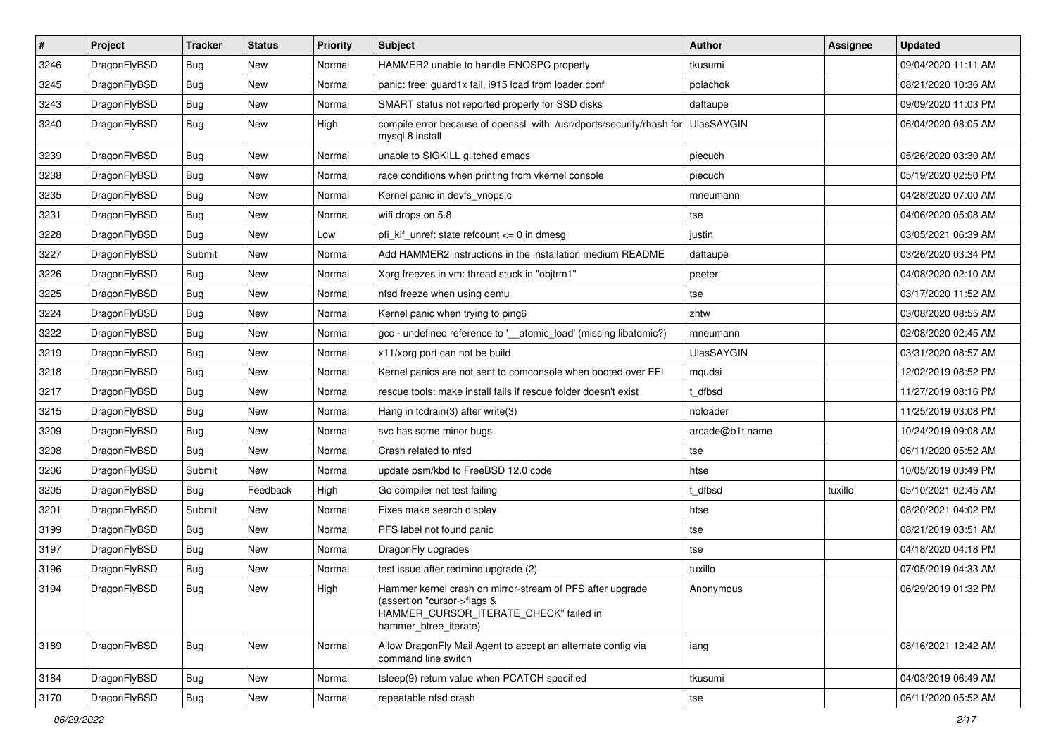| $\vert$ # | Project      | <b>Tracker</b> | <b>Status</b> | <b>Priority</b> | <b>Subject</b>                                                                                                                                              | Author            | Assignee | <b>Updated</b>      |
|-----------|--------------|----------------|---------------|-----------------|-------------------------------------------------------------------------------------------------------------------------------------------------------------|-------------------|----------|---------------------|
| 3246      | DragonFlyBSD | <b>Bug</b>     | <b>New</b>    | Normal          | HAMMER2 unable to handle ENOSPC properly                                                                                                                    | tkusumi           |          | 09/04/2020 11:11 AM |
| 3245      | DragonFlyBSD | Bug            | <b>New</b>    | Normal          | panic: free: guard1x fail, i915 load from loader.conf                                                                                                       | polachok          |          | 08/21/2020 10:36 AM |
| 3243      | DragonFlyBSD | <b>Bug</b>     | <b>New</b>    | Normal          | SMART status not reported properly for SSD disks                                                                                                            | daftaupe          |          | 09/09/2020 11:03 PM |
| 3240      | DragonFlyBSD | <b>Bug</b>     | New           | High            | compile error because of openssl with /usr/dports/security/rhash for<br>mysql 8 install                                                                     | <b>UlasSAYGIN</b> |          | 06/04/2020 08:05 AM |
| 3239      | DragonFlyBSD | Bug            | New           | Normal          | unable to SIGKILL glitched emacs                                                                                                                            | piecuch           |          | 05/26/2020 03:30 AM |
| 3238      | DragonFlyBSD | Bug            | <b>New</b>    | Normal          | race conditions when printing from vkernel console                                                                                                          | piecuch           |          | 05/19/2020 02:50 PM |
| 3235      | DragonFlyBSD | <b>Bug</b>     | New           | Normal          | Kernel panic in devfs_vnops.c                                                                                                                               | mneumann          |          | 04/28/2020 07:00 AM |
| 3231      | DragonFlyBSD | Bug            | <b>New</b>    | Normal          | wifi drops on 5.8                                                                                                                                           | tse               |          | 04/06/2020 05:08 AM |
| 3228      | DragonFlyBSD | Bug            | <b>New</b>    | Low             | pfi_kif_unref: state refcount <= 0 in dmesg                                                                                                                 | justin            |          | 03/05/2021 06:39 AM |
| 3227      | DragonFlyBSD | Submit         | <b>New</b>    | Normal          | Add HAMMER2 instructions in the installation medium README                                                                                                  | daftaupe          |          | 03/26/2020 03:34 PM |
| 3226      | DragonFlyBSD | Bug            | <b>New</b>    | Normal          | Xorg freezes in vm: thread stuck in "objtrm1"                                                                                                               | peeter            |          | 04/08/2020 02:10 AM |
| 3225      | DragonFlyBSD | <b>Bug</b>     | New           | Normal          | nfsd freeze when using qemu                                                                                                                                 | tse               |          | 03/17/2020 11:52 AM |
| 3224      | DragonFlyBSD | Bug            | New           | Normal          | Kernel panic when trying to ping6                                                                                                                           | zhtw              |          | 03/08/2020 08:55 AM |
| 3222      | DragonFlyBSD | Bug            | <b>New</b>    | Normal          | gcc - undefined reference to '__atomic_load' (missing libatomic?)                                                                                           | mneumann          |          | 02/08/2020 02:45 AM |
| 3219      | DragonFlyBSD | <b>Bug</b>     | New           | Normal          | x11/xorg port can not be build                                                                                                                              | <b>UlasSAYGIN</b> |          | 03/31/2020 08:57 AM |
| 3218      | DragonFlyBSD | Bug            | <b>New</b>    | Normal          | Kernel panics are not sent to comconsole when booted over EFI                                                                                               | mqudsi            |          | 12/02/2019 08:52 PM |
| 3217      | DragonFlyBSD | Bug            | <b>New</b>    | Normal          | rescue tools: make install fails if rescue folder doesn't exist                                                                                             | t dfbsd           |          | 11/27/2019 08:16 PM |
| 3215      | DragonFlyBSD | <b>Bug</b>     | New           | Normal          | Hang in tcdrain(3) after write $(3)$                                                                                                                        | noloader          |          | 11/25/2019 03:08 PM |
| 3209      | DragonFlyBSD | Bug            | <b>New</b>    | Normal          | svc has some minor bugs                                                                                                                                     | arcade@b1t.name   |          | 10/24/2019 09:08 AM |
| 3208      | DragonFlyBSD | <b>Bug</b>     | <b>New</b>    | Normal          | Crash related to nfsd                                                                                                                                       | tse               |          | 06/11/2020 05:52 AM |
| 3206      | DragonFlyBSD | Submit         | <b>New</b>    | Normal          | update psm/kbd to FreeBSD 12.0 code                                                                                                                         | htse              |          | 10/05/2019 03:49 PM |
| 3205      | DragonFlyBSD | <b>Bug</b>     | Feedback      | High            | Go compiler net test failing                                                                                                                                | t dfbsd           | tuxillo  | 05/10/2021 02:45 AM |
| 3201      | DragonFlyBSD | Submit         | New           | Normal          | Fixes make search display                                                                                                                                   | htse              |          | 08/20/2021 04:02 PM |
| 3199      | DragonFlyBSD | Bug            | <b>New</b>    | Normal          | PFS label not found panic                                                                                                                                   | tse               |          | 08/21/2019 03:51 AM |
| 3197      | DragonFlyBSD | <b>Bug</b>     | <b>New</b>    | Normal          | DragonFly upgrades                                                                                                                                          | tse               |          | 04/18/2020 04:18 PM |
| 3196      | DragonFlyBSD | Bug            | New           | Normal          | test issue after redmine upgrade (2)                                                                                                                        | tuxillo           |          | 07/05/2019 04:33 AM |
| 3194      | DragonFlyBSD | Bug            | <b>New</b>    | High            | Hammer kernel crash on mirror-stream of PFS after upgrade<br>(assertion "cursor->flags &<br>HAMMER_CURSOR_ITERATE_CHECK" failed in<br>hammer_btree_iterate) | Anonymous         |          | 06/29/2019 01:32 PM |
| 3189      | DragonFlyBSD | <b>Bug</b>     | New           | Normal          | Allow DragonFly Mail Agent to accept an alternate config via<br>command line switch                                                                         | iang              |          | 08/16/2021 12:42 AM |
| 3184      | DragonFlyBSD | <b>Bug</b>     | New           | Normal          | tsleep(9) return value when PCATCH specified                                                                                                                | tkusumi           |          | 04/03/2019 06:49 AM |
| 3170      | DragonFlyBSD | <b>Bug</b>     | New           | Normal          | repeatable nfsd crash                                                                                                                                       | tse               |          | 06/11/2020 05:52 AM |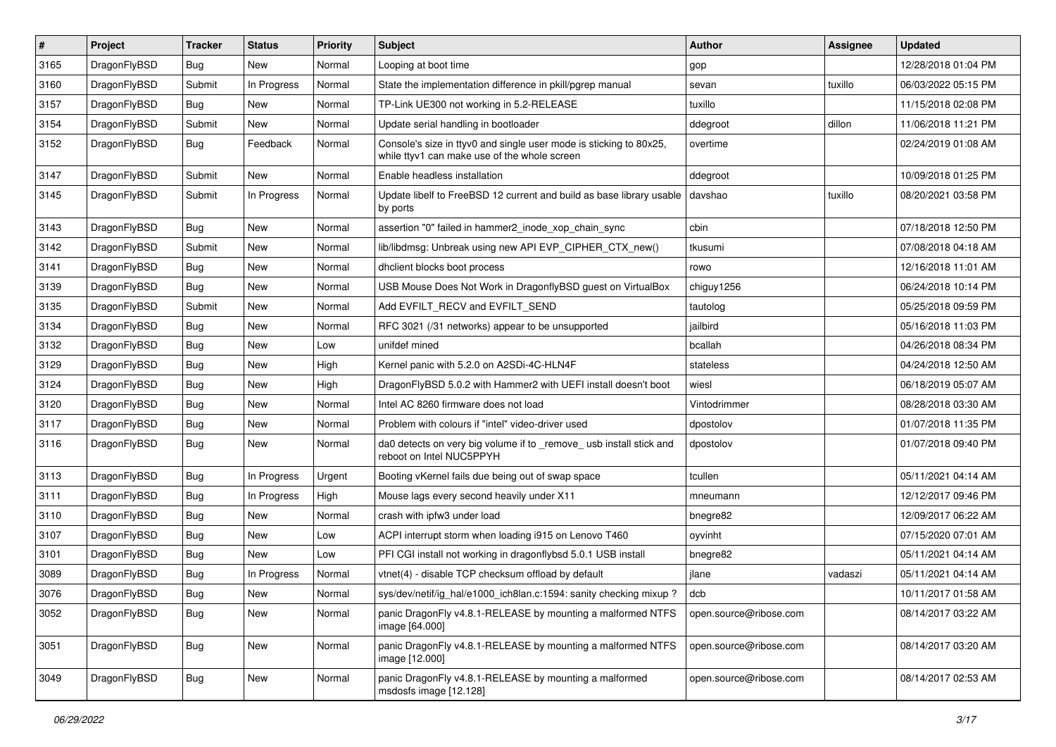| $\sharp$ | Project      | <b>Tracker</b> | <b>Status</b> | <b>Priority</b> | <b>Subject</b>                                                                                                     | <b>Author</b>          | Assignee | <b>Updated</b>      |
|----------|--------------|----------------|---------------|-----------------|--------------------------------------------------------------------------------------------------------------------|------------------------|----------|---------------------|
| 3165     | DragonFlyBSD | Bug            | New           | Normal          | Looping at boot time                                                                                               | gop                    |          | 12/28/2018 01:04 PM |
| 3160     | DragonFlyBSD | Submit         | In Progress   | Normal          | State the implementation difference in pkill/pgrep manual                                                          | sevan                  | tuxillo  | 06/03/2022 05:15 PM |
| 3157     | DragonFlyBSD | Bug            | New           | Normal          | TP-Link UE300 not working in 5.2-RELEASE                                                                           | tuxillo                |          | 11/15/2018 02:08 PM |
| 3154     | DragonFlyBSD | Submit         | New           | Normal          | Update serial handling in bootloader                                                                               | ddegroot               | dillon   | 11/06/2018 11:21 PM |
| 3152     | DragonFlyBSD | Bug            | Feedback      | Normal          | Console's size in ttyv0 and single user mode is sticking to 80x25,<br>while ttyv1 can make use of the whole screen | overtime               |          | 02/24/2019 01:08 AM |
| 3147     | DragonFlyBSD | Submit         | <b>New</b>    | Normal          | Enable headless installation                                                                                       | ddegroot               |          | 10/09/2018 01:25 PM |
| 3145     | DragonFlyBSD | Submit         | In Progress   | Normal          | Update libelf to FreeBSD 12 current and build as base library usable<br>by ports                                   | davshao                | tuxillo  | 08/20/2021 03:58 PM |
| 3143     | DragonFlyBSD | Bug            | <b>New</b>    | Normal          | assertion "0" failed in hammer2_inode_xop_chain_sync                                                               | cbin                   |          | 07/18/2018 12:50 PM |
| 3142     | DragonFlyBSD | Submit         | <b>New</b>    | Normal          | lib/libdmsg: Unbreak using new API EVP_CIPHER_CTX_new()                                                            | tkusumi                |          | 07/08/2018 04:18 AM |
| 3141     | DragonFlyBSD | Bug            | New           | Normal          | dhclient blocks boot process                                                                                       | rowo                   |          | 12/16/2018 11:01 AM |
| 3139     | DragonFlyBSD | Bug            | New           | Normal          | USB Mouse Does Not Work in DragonflyBSD guest on VirtualBox                                                        | chiguy1256             |          | 06/24/2018 10:14 PM |
| 3135     | DragonFlyBSD | Submit         | New           | Normal          | Add EVFILT_RECV and EVFILT_SEND                                                                                    | tautolog               |          | 05/25/2018 09:59 PM |
| 3134     | DragonFlyBSD | Bug            | New           | Normal          | RFC 3021 (/31 networks) appear to be unsupported                                                                   | jailbird               |          | 05/16/2018 11:03 PM |
| 3132     | DragonFlyBSD | Bug            | New           | Low             | unifdef mined                                                                                                      | bcallah                |          | 04/26/2018 08:34 PM |
| 3129     | DragonFlyBSD | Bug            | New           | High            | Kernel panic with 5.2.0 on A2SDi-4C-HLN4F                                                                          | stateless              |          | 04/24/2018 12:50 AM |
| 3124     | DragonFlyBSD | Bug            | <b>New</b>    | High            | DragonFlyBSD 5.0.2 with Hammer2 with UEFI install doesn't boot                                                     | wiesl                  |          | 06/18/2019 05:07 AM |
| 3120     | DragonFlyBSD | Bug            | New           | Normal          | Intel AC 8260 firmware does not load                                                                               | Vintodrimmer           |          | 08/28/2018 03:30 AM |
| 3117     | DragonFlyBSD | Bug            | New           | Normal          | Problem with colours if "intel" video-driver used                                                                  | dpostolov              |          | 01/07/2018 11:35 PM |
| 3116     | DragonFlyBSD | Bug            | <b>New</b>    | Normal          | da0 detects on very big volume if to _remove_ usb install stick and<br>reboot on Intel NUC5PPYH                    | dpostolov              |          | 01/07/2018 09:40 PM |
| 3113     | DragonFlyBSD | Bug            | In Progress   | Urgent          | Booting vKernel fails due being out of swap space                                                                  | tcullen                |          | 05/11/2021 04:14 AM |
| 3111     | DragonFlyBSD | Bug            | In Progress   | High            | Mouse lags every second heavily under X11                                                                          | mneumann               |          | 12/12/2017 09:46 PM |
| 3110     | DragonFlyBSD | <b>Bug</b>     | New           | Normal          | crash with ipfw3 under load                                                                                        | bnegre82               |          | 12/09/2017 06:22 AM |
| 3107     | DragonFlyBSD | <b>Bug</b>     | New           | Low             | ACPI interrupt storm when loading i915 on Lenovo T460                                                              | oyvinht                |          | 07/15/2020 07:01 AM |
| 3101     | DragonFlyBSD | Bug            | New           | Low             | PFI CGI install not working in dragonflybsd 5.0.1 USB install                                                      | bnegre82               |          | 05/11/2021 04:14 AM |
| 3089     | DragonFlyBSD | <b>Bug</b>     | In Progress   | Normal          | vtnet(4) - disable TCP checksum offload by default                                                                 | jlane                  | vadaszi  | 05/11/2021 04:14 AM |
| 3076     | DragonFlyBSD | Bug            | New           | Normal          | sys/dev/netif/ig_hal/e1000_ich8lan.c:1594: sanity checking mixup?                                                  | dcb                    |          | 10/11/2017 01:58 AM |
| 3052     | DragonFlyBSD | Bug            | <b>New</b>    | Normal          | panic DragonFly v4.8.1-RELEASE by mounting a malformed NTFS<br>image [64.000]                                      | open.source@ribose.com |          | 08/14/2017 03:22 AM |
| 3051     | DragonFlyBSD | Bug            | New           | Normal          | panic DragonFly v4.8.1-RELEASE by mounting a malformed NTFS<br>image [12.000]                                      | open.source@ribose.com |          | 08/14/2017 03:20 AM |
| 3049     | DragonFlyBSD | <b>Bug</b>     | New           | Normal          | panic DragonFly v4.8.1-RELEASE by mounting a malformed<br>msdosfs image [12.128]                                   | open.source@ribose.com |          | 08/14/2017 02:53 AM |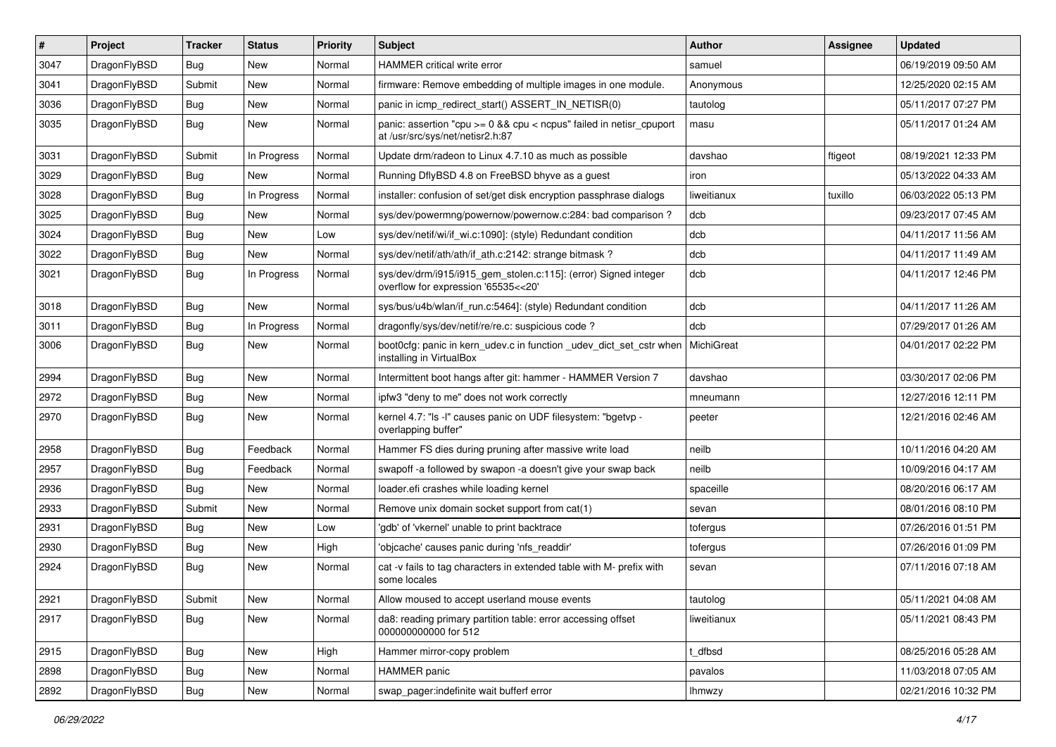| $\pmb{\#}$ | Project      | <b>Tracker</b> | <b>Status</b> | <b>Priority</b> | Subject                                                                                                 | Author        | Assignee | <b>Updated</b>      |
|------------|--------------|----------------|---------------|-----------------|---------------------------------------------------------------------------------------------------------|---------------|----------|---------------------|
| 3047       | DragonFlyBSD | Bug            | <b>New</b>    | Normal          | HAMMER critical write error                                                                             | samuel        |          | 06/19/2019 09:50 AM |
| 3041       | DragonFlyBSD | Submit         | <b>New</b>    | Normal          | firmware: Remove embedding of multiple images in one module.                                            | Anonymous     |          | 12/25/2020 02:15 AM |
| 3036       | DragonFlyBSD | <b>Bug</b>     | New           | Normal          | panic in icmp redirect start() ASSERT IN NETISR(0)                                                      | tautolog      |          | 05/11/2017 07:27 PM |
| 3035       | DragonFlyBSD | Bug            | New           | Normal          | panic: assertion "cpu >= 0 && cpu < ncpus" failed in netisr_cpuport<br>at /usr/src/sys/net/netisr2.h:87 | masu          |          | 05/11/2017 01:24 AM |
| 3031       | DragonFlyBSD | Submit         | In Progress   | Normal          | Update drm/radeon to Linux 4.7.10 as much as possible                                                   | davshao       | ftigeot  | 08/19/2021 12:33 PM |
| 3029       | DragonFlyBSD | Bug            | New           | Normal          | Running DflyBSD 4.8 on FreeBSD bhyve as a guest                                                         | iron          |          | 05/13/2022 04:33 AM |
| 3028       | DragonFlyBSD | Bug            | In Progress   | Normal          | installer: confusion of set/get disk encryption passphrase dialogs                                      | liweitianux   | tuxillo  | 06/03/2022 05:13 PM |
| 3025       | DragonFlyBSD | Bug            | New           | Normal          | sys/dev/powermng/powernow/powernow.c:284: bad comparison?                                               | dcb           |          | 09/23/2017 07:45 AM |
| 3024       | DragonFlyBSD | <b>Bug</b>     | <b>New</b>    | Low             | sys/dev/netif/wi/if_wi.c:1090]: (style) Redundant condition                                             | dcb           |          | 04/11/2017 11:56 AM |
| 3022       | DragonFlyBSD | Bug            | New           | Normal          | sys/dev/netif/ath/ath/if ath.c:2142: strange bitmask?                                                   | dcb           |          | 04/11/2017 11:49 AM |
| 3021       | DragonFlyBSD | Bug            | In Progress   | Normal          | sys/dev/drm/i915/i915_gem_stolen.c:115]: (error) Signed integer<br>overflow for expression '65535<<20'  | dcb           |          | 04/11/2017 12:46 PM |
| 3018       | DragonFlyBSD | <b>Bug</b>     | New           | Normal          | sys/bus/u4b/wlan/if_run.c:5464]: (style) Redundant condition                                            | dcb           |          | 04/11/2017 11:26 AM |
| 3011       | DragonFlyBSD | <b>Bug</b>     | In Progress   | Normal          | dragonfly/sys/dev/netif/re/re.c: suspicious code?                                                       | dcb           |          | 07/29/2017 01:26 AM |
| 3006       | DragonFlyBSD | <b>Bug</b>     | New           | Normal          | boot0cfg: panic in kern_udev.c in function _udev_dict_set_cstr when<br>installing in VirtualBox         | MichiGreat    |          | 04/01/2017 02:22 PM |
| 2994       | DragonFlyBSD | <b>Bug</b>     | <b>New</b>    | Normal          | Intermittent boot hangs after git: hammer - HAMMER Version 7                                            | davshao       |          | 03/30/2017 02:06 PM |
| 2972       | DragonFlyBSD | Bug            | New           | Normal          | ipfw3 "deny to me" does not work correctly                                                              | mneumann      |          | 12/27/2016 12:11 PM |
| 2970       | DragonFlyBSD | Bug            | <b>New</b>    | Normal          | kernel 4.7: "Is -I" causes panic on UDF filesystem: "bgetvp -<br>overlapping buffer"                    | peeter        |          | 12/21/2016 02:46 AM |
| 2958       | DragonFlyBSD | <b>Bug</b>     | Feedback      | Normal          | Hammer FS dies during pruning after massive write load                                                  | neilb         |          | 10/11/2016 04:20 AM |
| 2957       | DragonFlyBSD | <b>Bug</b>     | Feedback      | Normal          | swapoff -a followed by swapon -a doesn't give your swap back                                            | neilb         |          | 10/09/2016 04:17 AM |
| 2936       | DragonFlyBSD | <b>Bug</b>     | New           | Normal          | loader.efi crashes while loading kernel                                                                 | spaceille     |          | 08/20/2016 06:17 AM |
| 2933       | DragonFlyBSD | Submit         | New           | Normal          | Remove unix domain socket support from cat(1)                                                           | sevan         |          | 08/01/2016 08:10 PM |
| 2931       | DragonFlyBSD | <b>Bug</b>     | <b>New</b>    | Low             | 'gdb' of 'vkernel' unable to print backtrace                                                            | tofergus      |          | 07/26/2016 01:51 PM |
| 2930       | DragonFlyBSD | <b>Bug</b>     | New           | High            | 'objcache' causes panic during 'nfs_readdir'                                                            | tofergus      |          | 07/26/2016 01:09 PM |
| 2924       | DragonFlyBSD | Bug            | <b>New</b>    | Normal          | cat -v fails to tag characters in extended table with M- prefix with<br>some locales                    | sevan         |          | 07/11/2016 07:18 AM |
| 2921       | DragonFlyBSD | Submit         | New           | Normal          | Allow moused to accept userland mouse events                                                            | tautolog      |          | 05/11/2021 04:08 AM |
| 2917       | DragonFlyBSD | Bug            | New           | Normal          | da8: reading primary partition table: error accessing offset<br>000000000000 for 512                    | liweitianux   |          | 05/11/2021 08:43 PM |
| 2915       | DragonFlyBSD | <b>Bug</b>     | New           | High            | Hammer mirror-copy problem                                                                              | t_dfbsd       |          | 08/25/2016 05:28 AM |
| 2898       | DragonFlyBSD | Bug            | New           | Normal          | HAMMER panic                                                                                            | pavalos       |          | 11/03/2018 07:05 AM |
| 2892       | DragonFlyBSD | Bug            | New           | Normal          | swap_pager:indefinite wait bufferf error                                                                | <b>Ihmwzy</b> |          | 02/21/2016 10:32 PM |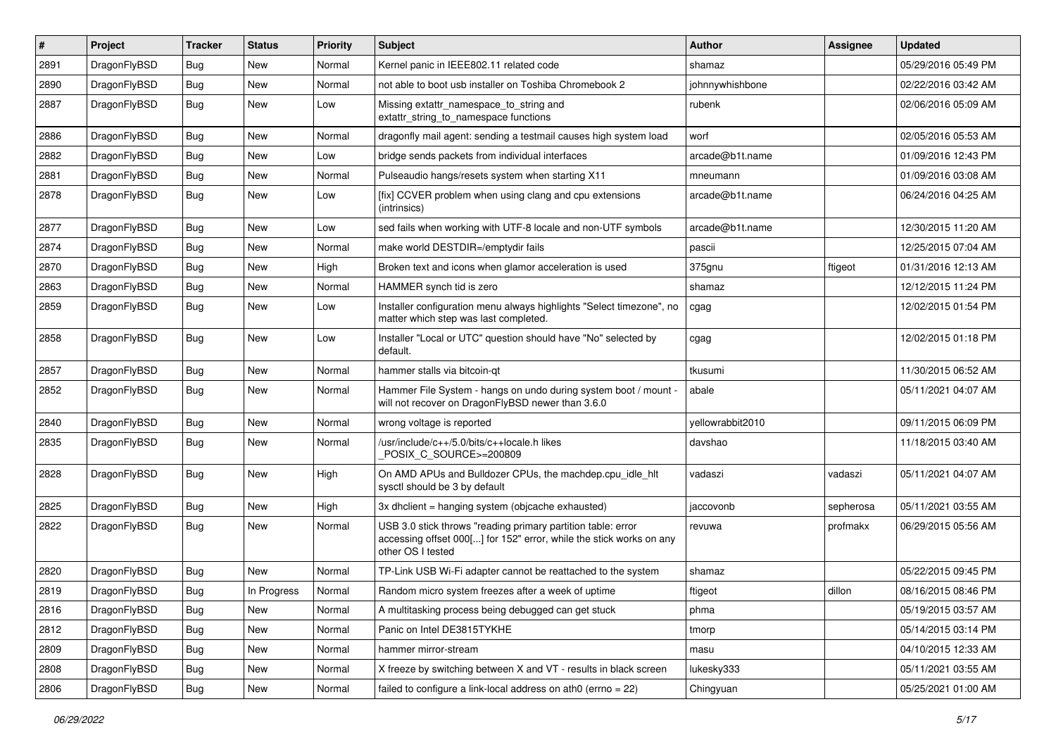| #    | Project      | <b>Tracker</b> | <b>Status</b> | <b>Priority</b> | Subject                                                                                                                                                  | <b>Author</b>    | Assignee  | <b>Updated</b>      |
|------|--------------|----------------|---------------|-----------------|----------------------------------------------------------------------------------------------------------------------------------------------------------|------------------|-----------|---------------------|
| 2891 | DragonFlyBSD | <b>Bug</b>     | New           | Normal          | Kernel panic in IEEE802.11 related code                                                                                                                  | shamaz           |           | 05/29/2016 05:49 PM |
| 2890 | DragonFlyBSD | Bug            | <b>New</b>    | Normal          | not able to boot usb installer on Toshiba Chromebook 2                                                                                                   | johnnywhishbone  |           | 02/22/2016 03:42 AM |
| 2887 | DragonFlyBSD | Bug            | <b>New</b>    | Low             | Missing extattr_namespace_to_string and<br>extattr_string_to_namespace functions                                                                         | rubenk           |           | 02/06/2016 05:09 AM |
| 2886 | DragonFlyBSD | Bug            | <b>New</b>    | Normal          | dragonfly mail agent: sending a testmail causes high system load                                                                                         | worf             |           | 02/05/2016 05:53 AM |
| 2882 | DragonFlyBSD | Bug            | <b>New</b>    | Low             | bridge sends packets from individual interfaces                                                                                                          | arcade@b1t.name  |           | 01/09/2016 12:43 PM |
| 2881 | DragonFlyBSD | Bug            | <b>New</b>    | Normal          | Pulseaudio hangs/resets system when starting X11                                                                                                         | mneumann         |           | 01/09/2016 03:08 AM |
| 2878 | DragonFlyBSD | <b>Bug</b>     | <b>New</b>    | Low             | [fix] CCVER problem when using clang and cpu extensions<br>(intrinsics)                                                                                  | arcade@b1t.name  |           | 06/24/2016 04:25 AM |
| 2877 | DragonFlyBSD | Bug            | <b>New</b>    | Low             | sed fails when working with UTF-8 locale and non-UTF symbols                                                                                             | arcade@b1t.name  |           | 12/30/2015 11:20 AM |
| 2874 | DragonFlyBSD | <b>Bug</b>     | <b>New</b>    | Normal          | make world DESTDIR=/emptydir fails                                                                                                                       | pascii           |           | 12/25/2015 07:04 AM |
| 2870 | DragonFlyBSD | <b>Bug</b>     | <b>New</b>    | High            | Broken text and icons when glamor acceleration is used                                                                                                   | 375gnu           | ftigeot   | 01/31/2016 12:13 AM |
| 2863 | DragonFlyBSD | <b>Bug</b>     | New           | Normal          | HAMMER synch tid is zero                                                                                                                                 | shamaz           |           | 12/12/2015 11:24 PM |
| 2859 | DragonFlyBSD | <b>Bug</b>     | <b>New</b>    | Low             | Installer configuration menu always highlights "Select timezone", no<br>matter which step was last completed.                                            | cgag             |           | 12/02/2015 01:54 PM |
| 2858 | DragonFlyBSD | Bug            | <b>New</b>    | Low             | Installer "Local or UTC" question should have "No" selected by<br>default.                                                                               | cgag             |           | 12/02/2015 01:18 PM |
| 2857 | DragonFlyBSD | Bug            | <b>New</b>    | Normal          | hammer stalls via bitcoin-qt                                                                                                                             | tkusumi          |           | 11/30/2015 06:52 AM |
| 2852 | DragonFlyBSD | <b>Bug</b>     | <b>New</b>    | Normal          | Hammer File System - hangs on undo during system boot / mount -<br>will not recover on DragonFlyBSD newer than 3.6.0                                     | abale            |           | 05/11/2021 04:07 AM |
| 2840 | DragonFlyBSD | Bug            | <b>New</b>    | Normal          | wrong voltage is reported                                                                                                                                | yellowrabbit2010 |           | 09/11/2015 06:09 PM |
| 2835 | DragonFlyBSD | <b>Bug</b>     | <b>New</b>    | Normal          | /usr/include/c++/5.0/bits/c++locale.h likes<br>POSIX_C_SOURCE>=200809                                                                                    | davshao          |           | 11/18/2015 03:40 AM |
| 2828 | DragonFlyBSD | Bug            | <b>New</b>    | High            | On AMD APUs and Bulldozer CPUs, the machdep.cpu_idle_hlt<br>sysctl should be 3 by default                                                                | vadaszi          | vadaszi   | 05/11/2021 04:07 AM |
| 2825 | DragonFlyBSD | Bug            | <b>New</b>    | High            | 3x dhclient = hanging system (objcache exhausted)                                                                                                        | iaccovonb        | sepherosa | 05/11/2021 03:55 AM |
| 2822 | DragonFlyBSD | <b>Bug</b>     | New           | Normal          | USB 3.0 stick throws "reading primary partition table: error<br>accessing offset 000[] for 152" error, while the stick works on any<br>other OS I tested | revuwa           | profmakx  | 06/29/2015 05:56 AM |
| 2820 | DragonFlyBSD | <b>Bug</b>     | New           | Normal          | TP-Link USB Wi-Fi adapter cannot be reattached to the system                                                                                             | shamaz           |           | 05/22/2015 09:45 PM |
| 2819 | DragonFlyBSD | Bug            | In Progress   | Normal          | Random micro system freezes after a week of uptime                                                                                                       | ftigeot          | dillon    | 08/16/2015 08:46 PM |
| 2816 | DragonFlyBSD | Bug            | New           | Normal          | A multitasking process being debugged can get stuck                                                                                                      | phma             |           | 05/19/2015 03:57 AM |
| 2812 | DragonFlyBSD | Bug            | New           | Normal          | Panic on Intel DE3815TYKHE                                                                                                                               | tmorp            |           | 05/14/2015 03:14 PM |
| 2809 | DragonFlyBSD | <b>Bug</b>     | New           | Normal          | hammer mirror-stream                                                                                                                                     | masu             |           | 04/10/2015 12:33 AM |
| 2808 | DragonFlyBSD | <b>Bug</b>     | New           | Normal          | X freeze by switching between X and VT - results in black screen                                                                                         | lukesky333       |           | 05/11/2021 03:55 AM |
| 2806 | DragonFlyBSD | Bug            | New           | Normal          | failed to configure a link-local address on ath0 (errno = $22$ )                                                                                         | Chingyuan        |           | 05/25/2021 01:00 AM |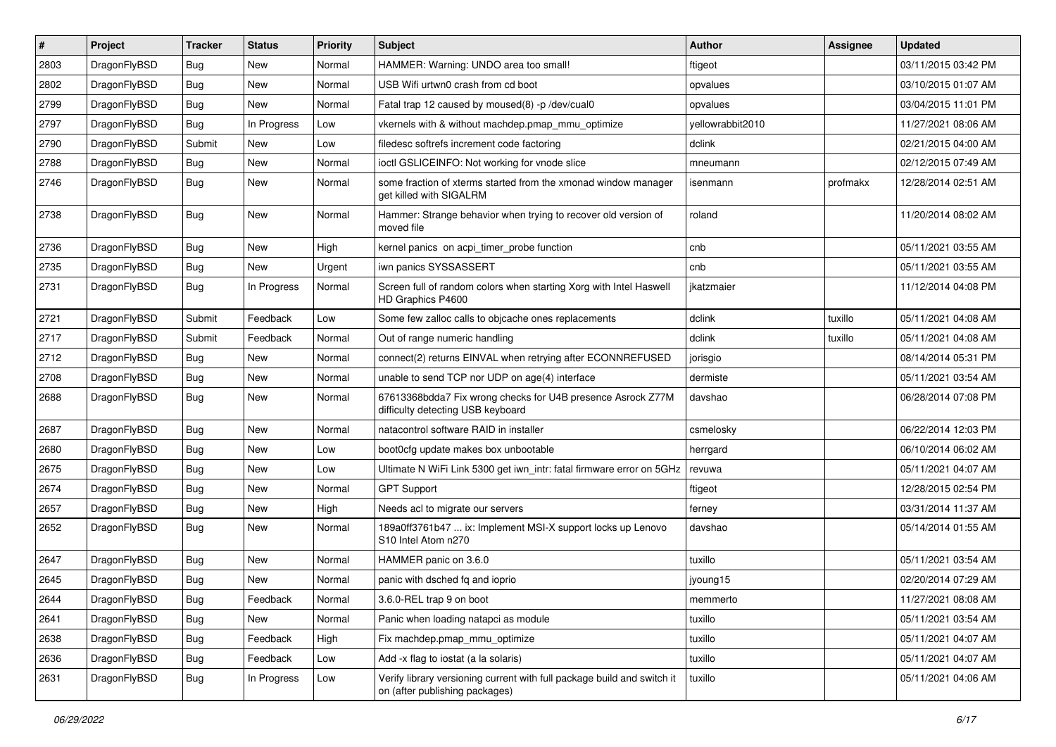| ∦    | Project      | <b>Tracker</b> | <b>Status</b> | <b>Priority</b> | <b>Subject</b>                                                                                            | <b>Author</b>    | <b>Assignee</b> | <b>Updated</b>      |
|------|--------------|----------------|---------------|-----------------|-----------------------------------------------------------------------------------------------------------|------------------|-----------------|---------------------|
| 2803 | DragonFlyBSD | <b>Bug</b>     | <b>New</b>    | Normal          | HAMMER: Warning: UNDO area too small!                                                                     | ftigeot          |                 | 03/11/2015 03:42 PM |
| 2802 | DragonFlyBSD | Bug            | <b>New</b>    | Normal          | USB Wifi urtwn0 crash from cd boot                                                                        | opvalues         |                 | 03/10/2015 01:07 AM |
| 2799 | DragonFlyBSD | <b>Bug</b>     | New           | Normal          | Fatal trap 12 caused by moused(8) -p /dev/cual0                                                           | opvalues         |                 | 03/04/2015 11:01 PM |
| 2797 | DragonFlyBSD | Bug            | In Progress   | Low             | vkernels with & without machdep.pmap_mmu_optimize                                                         | yellowrabbit2010 |                 | 11/27/2021 08:06 AM |
| 2790 | DragonFlyBSD | Submit         | <b>New</b>    | Low             | filedesc softrefs increment code factoring                                                                | dclink           |                 | 02/21/2015 04:00 AM |
| 2788 | DragonFlyBSD | <b>Bug</b>     | <b>New</b>    | Normal          | ioctl GSLICEINFO: Not working for vnode slice                                                             | mneumann         |                 | 02/12/2015 07:49 AM |
| 2746 | DragonFlyBSD | Bug            | <b>New</b>    | Normal          | some fraction of xterms started from the xmonad window manager<br>get killed with SIGALRM                 | isenmann         | profmakx        | 12/28/2014 02:51 AM |
| 2738 | DragonFlyBSD | Bug            | <b>New</b>    | Normal          | Hammer: Strange behavior when trying to recover old version of<br>moved file                              | roland           |                 | 11/20/2014 08:02 AM |
| 2736 | DragonFlyBSD | <b>Bug</b>     | <b>New</b>    | High            | kernel panics on acpi_timer_probe function                                                                | cnb              |                 | 05/11/2021 03:55 AM |
| 2735 | DragonFlyBSD | Bug            | <b>New</b>    | Urgent          | iwn panics SYSSASSERT                                                                                     | cnb              |                 | 05/11/2021 03:55 AM |
| 2731 | DragonFlyBSD | Bug            | In Progress   | Normal          | Screen full of random colors when starting Xorg with Intel Haswell<br>HD Graphics P4600                   | jkatzmaier       |                 | 11/12/2014 04:08 PM |
| 2721 | DragonFlyBSD | Submit         | Feedback      | Low             | Some few zalloc calls to objcache ones replacements                                                       | dclink           | tuxillo         | 05/11/2021 04:08 AM |
| 2717 | DragonFlyBSD | Submit         | Feedback      | Normal          | Out of range numeric handling                                                                             | dclink           | tuxillo         | 05/11/2021 04:08 AM |
| 2712 | DragonFlyBSD | Bug            | <b>New</b>    | Normal          | connect(2) returns EINVAL when retrying after ECONNREFUSED                                                | jorisgio         |                 | 08/14/2014 05:31 PM |
| 2708 | DragonFlyBSD | <b>Bug</b>     | <b>New</b>    | Normal          | unable to send TCP nor UDP on age(4) interface                                                            | dermiste         |                 | 05/11/2021 03:54 AM |
| 2688 | DragonFlyBSD | Bug            | <b>New</b>    | Normal          | 67613368bdda7 Fix wrong checks for U4B presence Asrock Z77M<br>difficulty detecting USB keyboard          | davshao          |                 | 06/28/2014 07:08 PM |
| 2687 | DragonFlyBSD | Bug            | <b>New</b>    | Normal          | natacontrol software RAID in installer                                                                    | csmelosky        |                 | 06/22/2014 12:03 PM |
| 2680 | DragonFlyBSD | <b>Bug</b>     | <b>New</b>    | Low             | boot0cfg update makes box unbootable                                                                      | herrgard         |                 | 06/10/2014 06:02 AM |
| 2675 | DragonFlyBSD | Bug            | <b>New</b>    | Low             | Ultimate N WiFi Link 5300 get iwn_intr: fatal firmware error on 5GHz                                      | revuwa           |                 | 05/11/2021 04:07 AM |
| 2674 | DragonFlyBSD | <b>Bug</b>     | <b>New</b>    | Normal          | <b>GPT Support</b>                                                                                        | ftigeot          |                 | 12/28/2015 02:54 PM |
| 2657 | DragonFlyBSD | Bug            | <b>New</b>    | High            | Needs acl to migrate our servers                                                                          | ferney           |                 | 03/31/2014 11:37 AM |
| 2652 | DragonFlyBSD | Bug            | <b>New</b>    | Normal          | 189a0ff3761b47  ix: Implement MSI-X support locks up Lenovo<br>S10 Intel Atom n270                        | davshao          |                 | 05/14/2014 01:55 AM |
| 2647 | DragonFlyBSD | Bug            | <b>New</b>    | Normal          | HAMMER panic on 3.6.0                                                                                     | tuxillo          |                 | 05/11/2021 03:54 AM |
| 2645 | DragonFlyBSD | <b>Bug</b>     | <b>New</b>    | Normal          | panic with dsched fq and ioprio                                                                           | jyoung15         |                 | 02/20/2014 07:29 AM |
| 2644 | DragonFlyBSD | <b>Bug</b>     | Feedback      | Normal          | 3.6.0-REL trap 9 on boot                                                                                  | memmerto         |                 | 11/27/2021 08:08 AM |
| 2641 | DragonFlyBSD | <b>Bug</b>     | New           | Normal          | Panic when loading natapci as module                                                                      | tuxillo          |                 | 05/11/2021 03:54 AM |
| 2638 | DragonFlyBSD | <b>Bug</b>     | Feedback      | High            | Fix machdep.pmap mmu optimize                                                                             | tuxillo          |                 | 05/11/2021 04:07 AM |
| 2636 | DragonFlyBSD | <b>Bug</b>     | Feedback      | Low             | Add -x flag to iostat (a la solaris)                                                                      | tuxillo          |                 | 05/11/2021 04:07 AM |
| 2631 | DragonFlyBSD | <b>Bug</b>     | In Progress   | Low             | Verify library versioning current with full package build and switch it<br>on (after publishing packages) | tuxillo          |                 | 05/11/2021 04:06 AM |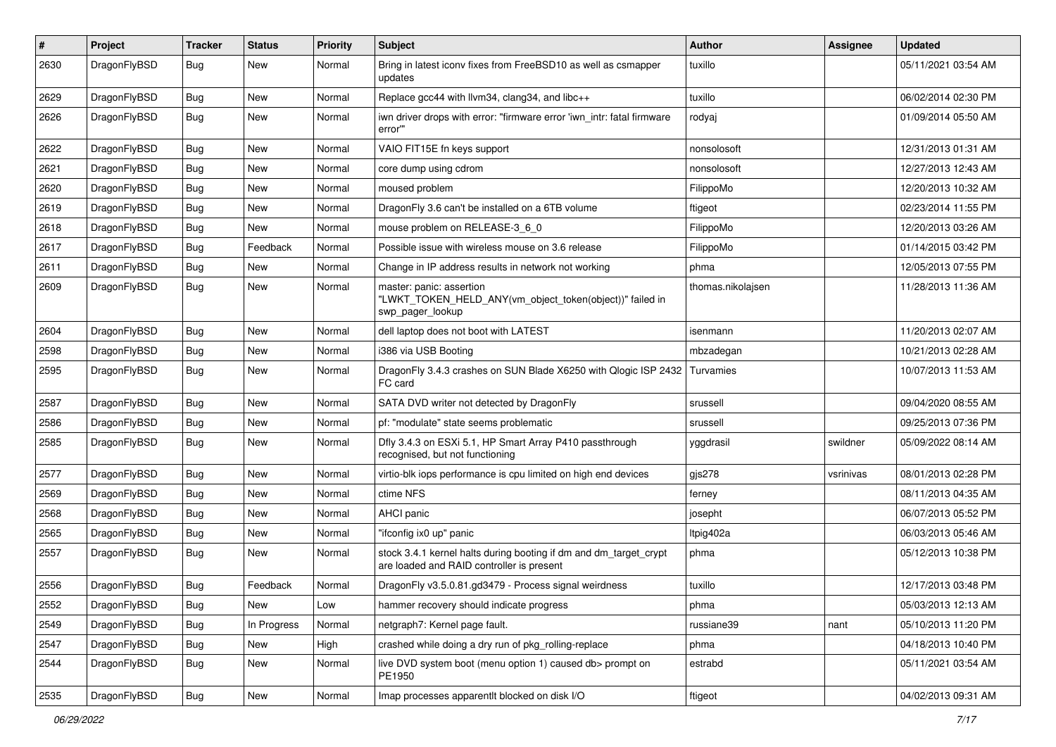| $\pmb{\#}$ | Project      | <b>Tracker</b> | <b>Status</b> | <b>Priority</b> | <b>Subject</b>                                                                                                 | Author            | Assignee  | <b>Updated</b>      |
|------------|--------------|----------------|---------------|-----------------|----------------------------------------------------------------------------------------------------------------|-------------------|-----------|---------------------|
| 2630       | DragonFlyBSD | Bug            | New           | Normal          | Bring in latest iconv fixes from FreeBSD10 as well as csmapper<br>updates                                      | tuxillo           |           | 05/11/2021 03:54 AM |
| 2629       | DragonFlyBSD | <b>Bug</b>     | <b>New</b>    | Normal          | Replace gcc44 with llvm34, clang34, and libc++                                                                 | tuxillo           |           | 06/02/2014 02:30 PM |
| 2626       | DragonFlyBSD | Bug            | New           | Normal          | iwn driver drops with error: "firmware error 'iwn_intr: fatal firmware<br>error""                              | rodyaj            |           | 01/09/2014 05:50 AM |
| 2622       | DragonFlyBSD | <b>Bug</b>     | New           | Normal          | VAIO FIT15E fn keys support                                                                                    | nonsolosoft       |           | 12/31/2013 01:31 AM |
| 2621       | DragonFlyBSD | <b>Bug</b>     | New           | Normal          | core dump using cdrom                                                                                          | nonsolosoft       |           | 12/27/2013 12:43 AM |
| 2620       | DragonFlyBSD | <b>Bug</b>     | New           | Normal          | moused problem                                                                                                 | FilippoMo         |           | 12/20/2013 10:32 AM |
| 2619       | DragonFlyBSD | <b>Bug</b>     | New           | Normal          | DragonFly 3.6 can't be installed on a 6TB volume                                                               | ftigeot           |           | 02/23/2014 11:55 PM |
| 2618       | DragonFlyBSD | Bug            | New           | Normal          | mouse problem on RELEASE-3_6_0                                                                                 | FilippoMo         |           | 12/20/2013 03:26 AM |
| 2617       | DragonFlyBSD | <b>Bug</b>     | Feedback      | Normal          | Possible issue with wireless mouse on 3.6 release                                                              | FilippoMo         |           | 01/14/2015 03:42 PM |
| 2611       | DragonFlyBSD | <b>Bug</b>     | New           | Normal          | Change in IP address results in network not working                                                            | phma              |           | 12/05/2013 07:55 PM |
| 2609       | DragonFlyBSD | Bug            | <b>New</b>    | Normal          | master: panic: assertion<br>"LWKT_TOKEN_HELD_ANY(vm_object_token(object))" failed in<br>swp pager lookup       | thomas.nikolajsen |           | 11/28/2013 11:36 AM |
| 2604       | DragonFlyBSD | Bug            | New           | Normal          | dell laptop does not boot with LATEST                                                                          | isenmann          |           | 11/20/2013 02:07 AM |
| 2598       | DragonFlyBSD | Bug            | New           | Normal          | i386 via USB Booting                                                                                           | mbzadegan         |           | 10/21/2013 02:28 AM |
| 2595       | DragonFlyBSD | Bug            | New           | Normal          | DragonFly 3.4.3 crashes on SUN Blade X6250 with Qlogic ISP 2432<br>FC card                                     | Turvamies         |           | 10/07/2013 11:53 AM |
| 2587       | DragonFlyBSD | Bug            | New           | Normal          | SATA DVD writer not detected by DragonFly                                                                      | srussell          |           | 09/04/2020 08:55 AM |
| 2586       | DragonFlyBSD | Bug            | New           | Normal          | pf: "modulate" state seems problematic                                                                         | srussell          |           | 09/25/2013 07:36 PM |
| 2585       | DragonFlyBSD | Bug            | New           | Normal          | Dfly 3.4.3 on ESXi 5.1, HP Smart Array P410 passthrough<br>recognised, but not functioning                     | yggdrasil         | swildner  | 05/09/2022 08:14 AM |
| 2577       | DragonFlyBSD | Bug            | New           | Normal          | virtio-blk iops performance is cpu limited on high end devices                                                 | gjs278            | vsrinivas | 08/01/2013 02:28 PM |
| 2569       | DragonFlyBSD | <b>Bug</b>     | New           | Normal          | ctime NFS                                                                                                      | ferney            |           | 08/11/2013 04:35 AM |
| 2568       | DragonFlyBSD | Bug            | New           | Normal          | AHCI panic                                                                                                     | josepht           |           | 06/07/2013 05:52 PM |
| 2565       | DragonFlyBSD | <b>Bug</b>     | New           | Normal          | "ifconfig ix0 up" panic                                                                                        | Itpig402a         |           | 06/03/2013 05:46 AM |
| 2557       | DragonFlyBSD | Bug            | New           | Normal          | stock 3.4.1 kernel halts during booting if dm and dm_target_crypt<br>are loaded and RAID controller is present | phma              |           | 05/12/2013 10:38 PM |
| 2556       | DragonFlyBSD | Bug            | Feedback      | Normal          | DragonFly v3.5.0.81.gd3479 - Process signal weirdness                                                          | tuxillo           |           | 12/17/2013 03:48 PM |
| 2552       | DragonFlyBSD | <b>Bug</b>     | New           | Low             | hammer recovery should indicate progress                                                                       | phma              |           | 05/03/2013 12:13 AM |
| 2549       | DragonFlyBSD | <b>Bug</b>     | In Progress   | Normal          | netgraph7: Kernel page fault.                                                                                  | russiane39        | nant      | 05/10/2013 11:20 PM |
| 2547       | DragonFlyBSD | <b>Bug</b>     | New           | High            | crashed while doing a dry run of pkg rolling-replace                                                           | phma              |           | 04/18/2013 10:40 PM |
| 2544       | DragonFlyBSD | <b>Bug</b>     | New           | Normal          | live DVD system boot (menu option 1) caused db> prompt on<br>PE1950                                            | estrabd           |           | 05/11/2021 03:54 AM |
| 2535       | DragonFlyBSD | <b>Bug</b>     | New           | Normal          | Imap processes apparentlt blocked on disk I/O                                                                  | ftigeot           |           | 04/02/2013 09:31 AM |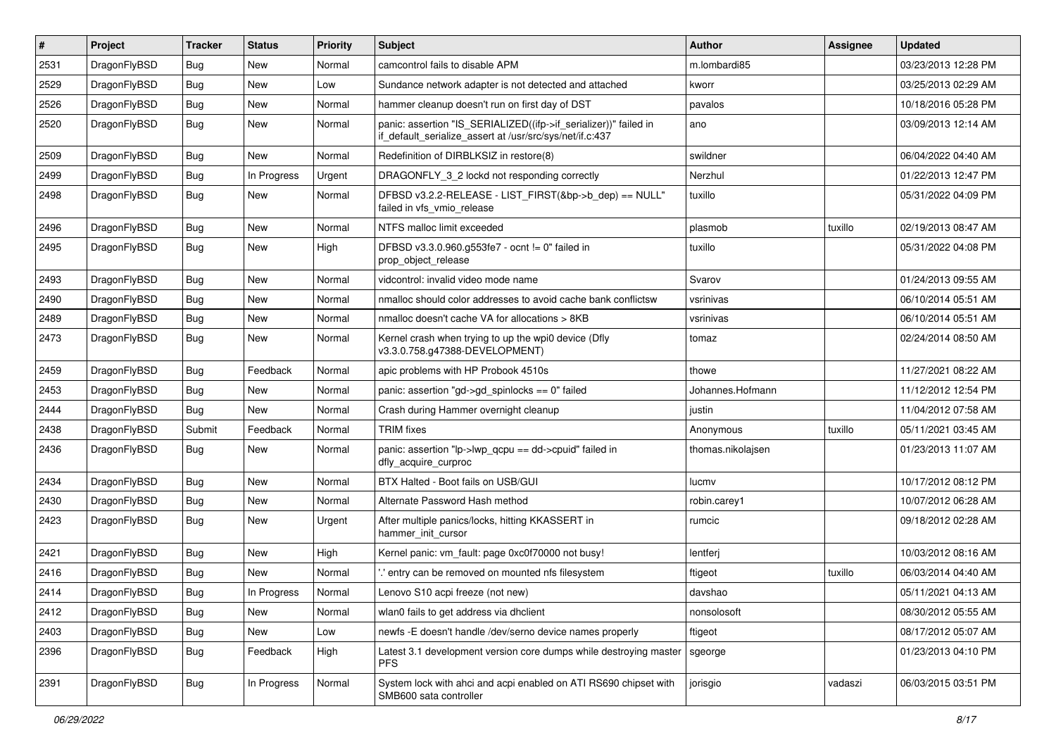| $\sharp$ | Project      | <b>Tracker</b> | <b>Status</b> | <b>Priority</b> | Subject                                                                                                                      | <b>Author</b>     | Assignee | <b>Updated</b>      |
|----------|--------------|----------------|---------------|-----------------|------------------------------------------------------------------------------------------------------------------------------|-------------------|----------|---------------------|
| 2531     | DragonFlyBSD | <b>Bug</b>     | New           | Normal          | camcontrol fails to disable APM                                                                                              | m.lombardi85      |          | 03/23/2013 12:28 PM |
| 2529     | DragonFlyBSD | Bug            | New           | Low             | Sundance network adapter is not detected and attached                                                                        | kworr             |          | 03/25/2013 02:29 AM |
| 2526     | DragonFlyBSD | <b>Bug</b>     | New           | Normal          | hammer cleanup doesn't run on first day of DST                                                                               | pavalos           |          | 10/18/2016 05:28 PM |
| 2520     | DragonFlyBSD | Bug            | <b>New</b>    | Normal          | panic: assertion "IS_SERIALIZED((ifp->if_serializer))" failed in<br>if_default_serialize_assert at /usr/src/sys/net/if.c:437 | ano               |          | 03/09/2013 12:14 AM |
| 2509     | DragonFlyBSD | Bug            | New           | Normal          | Redefinition of DIRBLKSIZ in restore(8)                                                                                      | swildner          |          | 06/04/2022 04:40 AM |
| 2499     | DragonFlyBSD | Bug            | In Progress   | Urgent          | DRAGONFLY_3_2 lockd not responding correctly                                                                                 | Nerzhul           |          | 01/22/2013 12:47 PM |
| 2498     | DragonFlyBSD | Bug            | New           | Normal          | DFBSD v3.2.2-RELEASE - LIST_FIRST(&bp->b_dep) == NULL"<br>failed in vfs_vmio_release                                         | tuxillo           |          | 05/31/2022 04:09 PM |
| 2496     | DragonFlyBSD | Bug            | New           | Normal          | NTFS malloc limit exceeded                                                                                                   | plasmob           | tuxillo  | 02/19/2013 08:47 AM |
| 2495     | DragonFlyBSD | <b>Bug</b>     | <b>New</b>    | High            | DFBSD v3.3.0.960.g553fe7 - ocnt != 0" failed in<br>prop_object_release                                                       | tuxillo           |          | 05/31/2022 04:08 PM |
| 2493     | DragonFlyBSD | <b>Bug</b>     | <b>New</b>    | Normal          | vidcontrol: invalid video mode name                                                                                          | Svarov            |          | 01/24/2013 09:55 AM |
| 2490     | DragonFlyBSD | <b>Bug</b>     | New           | Normal          | nmalloc should color addresses to avoid cache bank conflictsw                                                                | vsrinivas         |          | 06/10/2014 05:51 AM |
| 2489     | DragonFlyBSD | <b>Bug</b>     | New           | Normal          | nmalloc doesn't cache VA for allocations > 8KB                                                                               | vsrinivas         |          | 06/10/2014 05:51 AM |
| 2473     | DragonFlyBSD | <b>Bug</b>     | <b>New</b>    | Normal          | Kernel crash when trying to up the wpi0 device (Dfly<br>v3.3.0.758.g47388-DEVELOPMENT)                                       | tomaz             |          | 02/24/2014 08:50 AM |
| 2459     | DragonFlyBSD | <b>Bug</b>     | Feedback      | Normal          | apic problems with HP Probook 4510s                                                                                          | thowe             |          | 11/27/2021 08:22 AM |
| 2453     | DragonFlyBSD | <b>Bug</b>     | New           | Normal          | panic: assertion "gd->gd_spinlocks == 0" failed                                                                              | Johannes.Hofmann  |          | 11/12/2012 12:54 PM |
| 2444     | DragonFlyBSD | <b>Bug</b>     | New           | Normal          | Crash during Hammer overnight cleanup                                                                                        | justin            |          | 11/04/2012 07:58 AM |
| 2438     | DragonFlyBSD | Submit         | Feedback      | Normal          | <b>TRIM</b> fixes                                                                                                            | Anonymous         | tuxillo  | 05/11/2021 03:45 AM |
| 2436     | DragonFlyBSD | <b>Bug</b>     | New           | Normal          | panic: assertion "lp->lwp_qcpu == dd->cpuid" failed in<br>dfly_acquire_curproc                                               | thomas.nikolajsen |          | 01/23/2013 11:07 AM |
| 2434     | DragonFlyBSD | <b>Bug</b>     | <b>New</b>    | Normal          | BTX Halted - Boot fails on USB/GUI                                                                                           | lucmv             |          | 10/17/2012 08:12 PM |
| 2430     | DragonFlyBSD | <b>Bug</b>     | <b>New</b>    | Normal          | Alternate Password Hash method                                                                                               | robin.carey1      |          | 10/07/2012 06:28 AM |
| 2423     | DragonFlyBSD | <b>Bug</b>     | New           | Urgent          | After multiple panics/locks, hitting KKASSERT in<br>hammer init cursor                                                       | rumcic            |          | 09/18/2012 02:28 AM |
| 2421     | DragonFlyBSD | <b>Bug</b>     | New           | High            | Kernel panic: vm_fault: page 0xc0f70000 not busy!                                                                            | lentferj          |          | 10/03/2012 08:16 AM |
| 2416     | DragonFlyBSD | Bug            | New           | Normal          | ".' entry can be removed on mounted nfs filesystem                                                                           | ftigeot           | tuxillo  | 06/03/2014 04:40 AM |
| 2414     | DragonFlyBSD | <b>Bug</b>     | In Progress   | Normal          | Lenovo S10 acpi freeze (not new)                                                                                             | davshao           |          | 05/11/2021 04:13 AM |
| 2412     | DragonFlyBSD | <b>Bug</b>     | New           | Normal          | wlan0 fails to get address via dhclient                                                                                      | nonsolosoft       |          | 08/30/2012 05:55 AM |
| 2403     | DragonFlyBSD | Bug            | New           | Low             | newfs -E doesn't handle /dev/serno device names properly                                                                     | ftigeot           |          | 08/17/2012 05:07 AM |
| 2396     | DragonFlyBSD | <b>Bug</b>     | Feedback      | High            | Latest 3.1 development version core dumps while destroying master<br><b>PFS</b>                                              | sgeorge           |          | 01/23/2013 04:10 PM |
| 2391     | DragonFlyBSD | <b>Bug</b>     | In Progress   | Normal          | System lock with ahci and acpi enabled on ATI RS690 chipset with<br>SMB600 sata controller                                   | jorisgio          | vadaszi  | 06/03/2015 03:51 PM |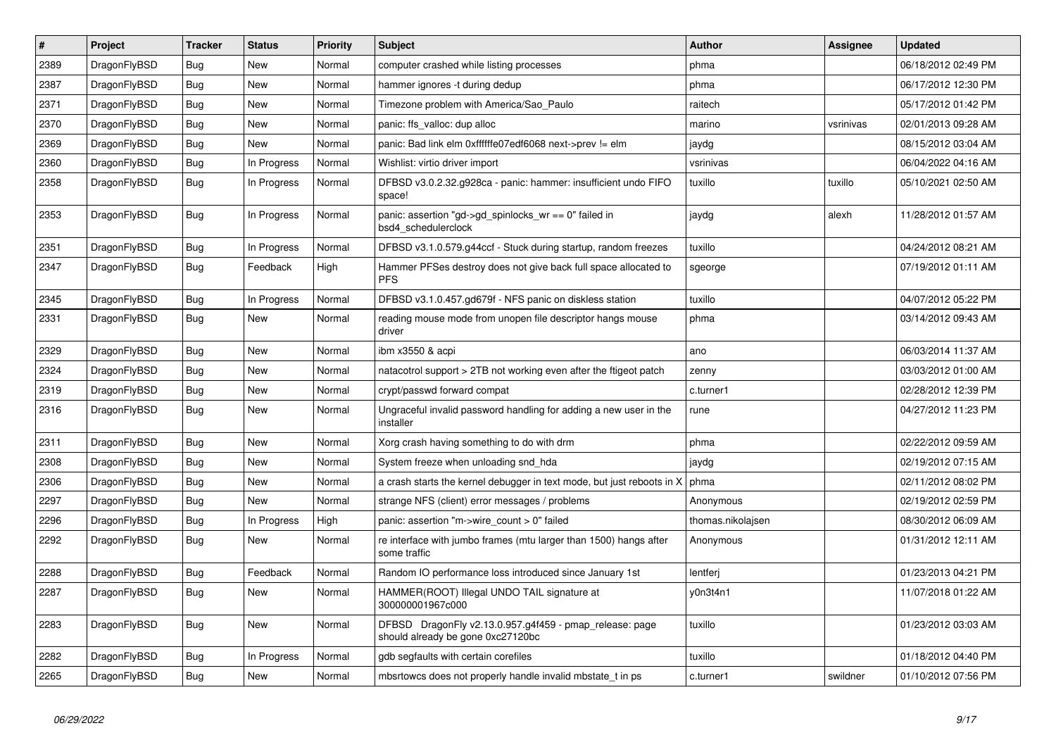| $\vert$ # | <b>Project</b> | <b>Tracker</b> | <b>Status</b> | <b>Priority</b> | <b>Subject</b>                                                                               | <b>Author</b>     | <b>Assignee</b> | <b>Updated</b>      |
|-----------|----------------|----------------|---------------|-----------------|----------------------------------------------------------------------------------------------|-------------------|-----------------|---------------------|
| 2389      | DragonFlyBSD   | Bug            | New           | Normal          | computer crashed while listing processes                                                     | phma              |                 | 06/18/2012 02:49 PM |
| 2387      | DragonFlyBSD   | <b>Bug</b>     | <b>New</b>    | Normal          | hammer ignores -t during dedup                                                               | phma              |                 | 06/17/2012 12:30 PM |
| 2371      | DragonFlyBSD   | Bug            | New           | Normal          | Timezone problem with America/Sao Paulo                                                      | raitech           |                 | 05/17/2012 01:42 PM |
| 2370      | DragonFlyBSD   | <b>Bug</b>     | New           | Normal          | panic: ffs_valloc: dup alloc                                                                 | marino            | vsrinivas       | 02/01/2013 09:28 AM |
| 2369      | DragonFlyBSD   | <b>Bug</b>     | <b>New</b>    | Normal          | panic: Bad link elm 0xffffffe07edf6068 next->prev != elm                                     | jaydg             |                 | 08/15/2012 03:04 AM |
| 2360      | DragonFlyBSD   | <b>Bug</b>     | In Progress   | Normal          | Wishlist: virtio driver import                                                               | vsrinivas         |                 | 06/04/2022 04:16 AM |
| 2358      | DragonFlyBSD   | <b>Bug</b>     | In Progress   | Normal          | DFBSD v3.0.2.32.g928ca - panic: hammer: insufficient undo FIFO<br>space!                     | tuxillo           | tuxillo         | 05/10/2021 02:50 AM |
| 2353      | DragonFlyBSD   | <b>Bug</b>     | In Progress   | Normal          | panic: assertion "gd->gd spinlocks $wr == 0$ " failed in<br>bsd4 schedulerclock              | jaydg             | alexh           | 11/28/2012 01:57 AM |
| 2351      | DragonFlyBSD   | <b>Bug</b>     | In Progress   | Normal          | DFBSD v3.1.0.579.g44ccf - Stuck during startup, random freezes                               | tuxillo           |                 | 04/24/2012 08:21 AM |
| 2347      | DragonFlyBSD   | Bug            | Feedback      | High            | Hammer PFSes destroy does not give back full space allocated to<br><b>PFS</b>                | sgeorge           |                 | 07/19/2012 01:11 AM |
| 2345      | DragonFlyBSD   | <b>Bug</b>     | In Progress   | Normal          | DFBSD v3.1.0.457.gd679f - NFS panic on diskless station                                      | tuxillo           |                 | 04/07/2012 05:22 PM |
| 2331      | DragonFlyBSD   | Bug            | New           | Normal          | reading mouse mode from unopen file descriptor hangs mouse<br>driver                         | phma              |                 | 03/14/2012 09:43 AM |
| 2329      | DragonFlyBSD   | Bug            | <b>New</b>    | Normal          | ibm x3550 & acpi                                                                             | ano               |                 | 06/03/2014 11:37 AM |
| 2324      | DragonFlyBSD   | Bug            | <b>New</b>    | Normal          | natacotrol support > 2TB not working even after the ftigeot patch                            | zenny             |                 | 03/03/2012 01:00 AM |
| 2319      | DragonFlyBSD   | <b>Bug</b>     | <b>New</b>    | Normal          | crypt/passwd forward compat                                                                  | c.turner1         |                 | 02/28/2012 12:39 PM |
| 2316      | DragonFlyBSD   | Bug            | New           | Normal          | Ungraceful invalid password handling for adding a new user in the<br>installer               | rune              |                 | 04/27/2012 11:23 PM |
| 2311      | DragonFlyBSD   | <b>Bug</b>     | <b>New</b>    | Normal          | Xorg crash having something to do with drm                                                   | phma              |                 | 02/22/2012 09:59 AM |
| 2308      | DragonFlyBSD   | Bug            | <b>New</b>    | Normal          | System freeze when unloading snd_hda                                                         | jaydg             |                 | 02/19/2012 07:15 AM |
| 2306      | DragonFlyBSD   | <b>Bug</b>     | New           | Normal          | a crash starts the kernel debugger in text mode, but just reboots in X                       | phma              |                 | 02/11/2012 08:02 PM |
| 2297      | DragonFlyBSD   | <b>Bug</b>     | <b>New</b>    | Normal          | strange NFS (client) error messages / problems                                               | Anonymous         |                 | 02/19/2012 02:59 PM |
| 2296      | DragonFlyBSD   | Bug            | In Progress   | High            | panic: assertion "m->wire count > 0" failed                                                  | thomas.nikolajsen |                 | 08/30/2012 06:09 AM |
| 2292      | DragonFlyBSD   | <b>Bug</b>     | New           | Normal          | re interface with jumbo frames (mtu larger than 1500) hangs after<br>some traffic            | Anonymous         |                 | 01/31/2012 12:11 AM |
| 2288      | DragonFlyBSD   | Bug            | Feedback      | Normal          | Random IO performance loss introduced since January 1st                                      | lentferj          |                 | 01/23/2013 04:21 PM |
| 2287      | DragonFlyBSD   | Bug            | <b>New</b>    | Normal          | HAMMER(ROOT) Illegal UNDO TAIL signature at<br>300000001967c000                              | y0n3t4n1          |                 | 11/07/2018 01:22 AM |
| 2283      | DragonFlyBSD   | <b>Bug</b>     | <b>New</b>    | Normal          | DFBSD DragonFly v2.13.0.957.g4f459 - pmap_release: page<br>should already be gone 0xc27120bc | tuxillo           |                 | 01/23/2012 03:03 AM |
| 2282      | DragonFlyBSD   | Bug            | In Progress   | Normal          | gdb segfaults with certain corefiles                                                         | tuxillo           |                 | 01/18/2012 04:40 PM |
| 2265      | DragonFlyBSD   | Bug            | <b>New</b>    | Normal          | mbsrtowcs does not properly handle invalid mbstate t in ps.                                  | c.turner1         | swildner        | 01/10/2012 07:56 PM |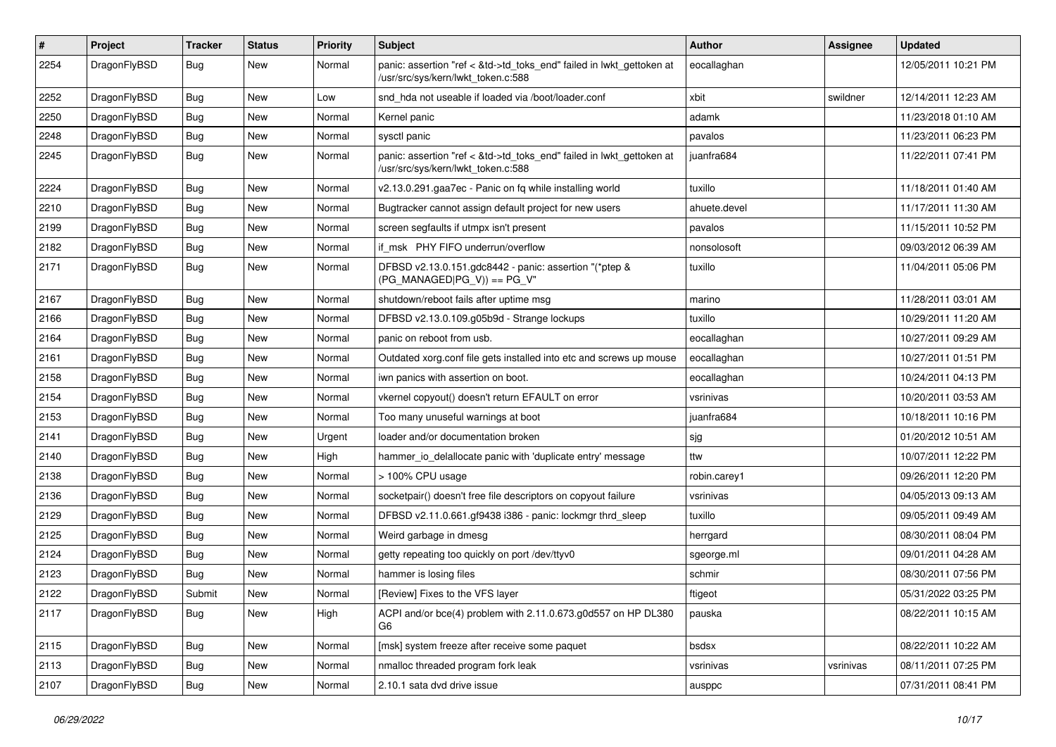| $\pmb{\#}$ | Project      | <b>Tracker</b> | <b>Status</b> | <b>Priority</b> | Subject                                                                                                    | Author       | Assignee  | <b>Updated</b>      |
|------------|--------------|----------------|---------------|-----------------|------------------------------------------------------------------------------------------------------------|--------------|-----------|---------------------|
| 2254       | DragonFlyBSD | Bug            | New           | Normal          | panic: assertion "ref < &td->td_toks_end" failed in lwkt_gettoken at<br>/usr/src/sys/kern/lwkt_token.c:588 | eocallaghan  |           | 12/05/2011 10:21 PM |
| 2252       | DragonFlyBSD | <b>Bug</b>     | New           | Low             | snd hda not useable if loaded via /boot/loader.conf                                                        | xbit         | swildner  | 12/14/2011 12:23 AM |
| 2250       | DragonFlyBSD | Bug            | New           | Normal          | Kernel panic                                                                                               | adamk        |           | 11/23/2018 01:10 AM |
| 2248       | DragonFlyBSD | <b>Bug</b>     | New           | Normal          | sysctl panic                                                                                               | pavalos      |           | 11/23/2011 06:23 PM |
| 2245       | DragonFlyBSD | <b>Bug</b>     | New           | Normal          | panic: assertion "ref < &td->td_toks_end" failed in lwkt_gettoken at<br>/usr/src/sys/kern/lwkt_token.c:588 | juanfra684   |           | 11/22/2011 07:41 PM |
| 2224       | DragonFlyBSD | <b>Bug</b>     | New           | Normal          | v2.13.0.291.gaa7ec - Panic on fg while installing world                                                    | tuxillo      |           | 11/18/2011 01:40 AM |
| 2210       | DragonFlyBSD | Bug            | New           | Normal          | Bugtracker cannot assign default project for new users                                                     | ahuete.devel |           | 11/17/2011 11:30 AM |
| 2199       | DragonFlyBSD | <b>Bug</b>     | <b>New</b>    | Normal          | screen segfaults if utmpx isn't present                                                                    | pavalos      |           | 11/15/2011 10:52 PM |
| 2182       | DragonFlyBSD | Bug            | New           | Normal          | if msk PHY FIFO underrun/overflow                                                                          | nonsolosoft  |           | 09/03/2012 06:39 AM |
| 2171       | DragonFlyBSD | Bug            | New           | Normal          | DFBSD v2.13.0.151.gdc8442 - panic: assertion "(*ptep &<br>$(PG$ MANAGED PG_V)) == PG_V"                    | tuxillo      |           | 11/04/2011 05:06 PM |
| 2167       | DragonFlyBSD | Bug            | New           | Normal          | shutdown/reboot fails after uptime msg                                                                     | marino       |           | 11/28/2011 03:01 AM |
| 2166       | DragonFlyBSD | Bug            | New           | Normal          | DFBSD v2.13.0.109.g05b9d - Strange lockups                                                                 | tuxillo      |           | 10/29/2011 11:20 AM |
| 2164       | DragonFlyBSD | Bug            | New           | Normal          | panic on reboot from usb.                                                                                  | eocallaghan  |           | 10/27/2011 09:29 AM |
| 2161       | DragonFlyBSD | Bug            | New           | Normal          | Outdated xorg.conf file gets installed into etc and screws up mouse                                        | eocallaghan  |           | 10/27/2011 01:51 PM |
| 2158       | DragonFlyBSD | <b>Bug</b>     | New           | Normal          | iwn panics with assertion on boot.                                                                         | eocallaghan  |           | 10/24/2011 04:13 PM |
| 2154       | DragonFlyBSD | Bug            | New           | Normal          | vkernel copyout() doesn't return EFAULT on error                                                           | vsrinivas    |           | 10/20/2011 03:53 AM |
| 2153       | DragonFlyBSD | Bug            | <b>New</b>    | Normal          | Too many unuseful warnings at boot                                                                         | juanfra684   |           | 10/18/2011 10:16 PM |
| 2141       | DragonFlyBSD | Bug            | New           | Urgent          | loader and/or documentation broken                                                                         | sjg          |           | 01/20/2012 10:51 AM |
| 2140       | DragonFlyBSD | Bug            | New           | High            | hammer io delallocate panic with 'duplicate entry' message                                                 | ttw          |           | 10/07/2011 12:22 PM |
| 2138       | DragonFlyBSD | <b>Bug</b>     | New           | Normal          | > 100% CPU usage                                                                                           | robin.carey1 |           | 09/26/2011 12:20 PM |
| 2136       | DragonFlyBSD | Bug            | New           | Normal          | socketpair() doesn't free file descriptors on copyout failure                                              | vsrinivas    |           | 04/05/2013 09:13 AM |
| 2129       | DragonFlyBSD | Bug            | New           | Normal          | DFBSD v2.11.0.661.gf9438 i386 - panic: lockmgr thrd sleep                                                  | tuxillo      |           | 09/05/2011 09:49 AM |
| 2125       | DragonFlyBSD | Bug            | New           | Normal          | Weird garbage in dmesg                                                                                     | herrgard     |           | 08/30/2011 08:04 PM |
| 2124       | DragonFlyBSD | <b>Bug</b>     | New           | Normal          | getty repeating too quickly on port /dev/ttyv0                                                             | sgeorge.ml   |           | 09/01/2011 04:28 AM |
| 2123       | DragonFlyBSD | <b>Bug</b>     | New           | Normal          | hammer is losing files                                                                                     | schmir       |           | 08/30/2011 07:56 PM |
| 2122       | DragonFlyBSD | Submit         | New           | Normal          | [Review] Fixes to the VFS layer                                                                            | ftigeot      |           | 05/31/2022 03:25 PM |
| 2117       | DragonFlyBSD | Bug            | New           | High            | ACPI and/or bce(4) problem with 2.11.0.673.g0d557 on HP DL380<br>G6                                        | pauska       |           | 08/22/2011 10:15 AM |
| 2115       | DragonFlyBSD | <b>Bug</b>     | New           | Normal          | [msk] system freeze after receive some paquet                                                              | bsdsx        |           | 08/22/2011 10:22 AM |
| 2113       | DragonFlyBSD | Bug            | New           | Normal          | nmalloc threaded program fork leak                                                                         | vsrinivas    | vsrinivas | 08/11/2011 07:25 PM |
| 2107       | DragonFlyBSD | <b>Bug</b>     | New           | Normal          | 2.10.1 sata dvd drive issue                                                                                | ausppc       |           | 07/31/2011 08:41 PM |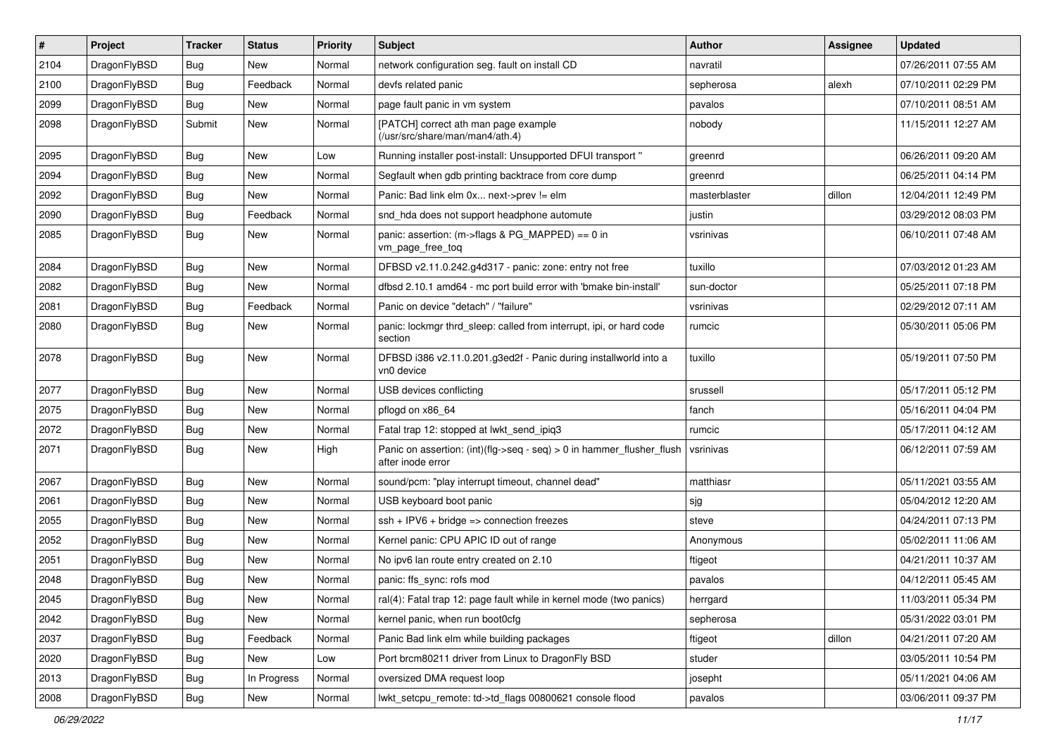| $\sharp$ | Project      | <b>Tracker</b> | <b>Status</b> | <b>Priority</b> | Subject                                                                                       | <b>Author</b> | Assignee | <b>Updated</b>      |
|----------|--------------|----------------|---------------|-----------------|-----------------------------------------------------------------------------------------------|---------------|----------|---------------------|
| 2104     | DragonFlyBSD | <b>Bug</b>     | New           | Normal          | network configuration seg. fault on install CD                                                | navratil      |          | 07/26/2011 07:55 AM |
| 2100     | DragonFlyBSD | <b>Bug</b>     | Feedback      | Normal          | devfs related panic                                                                           | sepherosa     | alexh    | 07/10/2011 02:29 PM |
| 2099     | DragonFlyBSD | <b>Bug</b>     | New           | Normal          | page fault panic in vm system                                                                 | pavalos       |          | 07/10/2011 08:51 AM |
| 2098     | DragonFlyBSD | Submit         | <b>New</b>    | Normal          | [PATCH] correct ath man page example<br>(/usr/src/share/man/man4/ath.4)                       | nobody        |          | 11/15/2011 12:27 AM |
| 2095     | DragonFlyBSD | <b>Bug</b>     | New           | Low             | Running installer post-install: Unsupported DFUI transport "                                  | greenrd       |          | 06/26/2011 09:20 AM |
| 2094     | DragonFlyBSD | <b>Bug</b>     | New           | Normal          | Segfault when gdb printing backtrace from core dump                                           | greenrd       |          | 06/25/2011 04:14 PM |
| 2092     | DragonFlyBSD | <b>Bug</b>     | New           | Normal          | Panic: Bad link elm 0x next->prev != elm                                                      | masterblaster | dillon   | 12/04/2011 12:49 PM |
| 2090     | DragonFlyBSD | <b>Bug</b>     | Feedback      | Normal          | snd_hda does not support headphone automute                                                   | justin        |          | 03/29/2012 08:03 PM |
| 2085     | DragonFlyBSD | <b>Bug</b>     | <b>New</b>    | Normal          | panic: assertion: (m->flags & PG_MAPPED) == 0 in<br>vm_page_free_toq                          | vsrinivas     |          | 06/10/2011 07:48 AM |
| 2084     | DragonFlyBSD | <b>Bug</b>     | New           | Normal          | DFBSD v2.11.0.242.g4d317 - panic: zone: entry not free                                        | tuxillo       |          | 07/03/2012 01:23 AM |
| 2082     | DragonFlyBSD | <b>Bug</b>     | New           | Normal          | dfbsd 2.10.1 amd64 - mc port build error with 'bmake bin-install'                             | sun-doctor    |          | 05/25/2011 07:18 PM |
| 2081     | DragonFlyBSD | <b>Bug</b>     | Feedback      | Normal          | Panic on device "detach" / "failure"                                                          | vsrinivas     |          | 02/29/2012 07:11 AM |
| 2080     | DragonFlyBSD | <b>Bug</b>     | New           | Normal          | panic: lockmgr thrd_sleep: called from interrupt, ipi, or hard code<br>section                | rumcic        |          | 05/30/2011 05:06 PM |
| 2078     | DragonFlyBSD | Bug            | New           | Normal          | DFBSD i386 v2.11.0.201.g3ed2f - Panic during installworld into a<br>vn0 device                | tuxillo       |          | 05/19/2011 07:50 PM |
| 2077     | DragonFlyBSD | <b>Bug</b>     | New           | Normal          | USB devices conflicting                                                                       | srussell      |          | 05/17/2011 05:12 PM |
| 2075     | DragonFlyBSD | <b>Bug</b>     | New           | Normal          | pflogd on x86 64                                                                              | fanch         |          | 05/16/2011 04:04 PM |
| 2072     | DragonFlyBSD | <b>Bug</b>     | <b>New</b>    | Normal          | Fatal trap 12: stopped at lwkt_send_ipiq3                                                     | rumcic        |          | 05/17/2011 04:12 AM |
| 2071     | DragonFlyBSD | <b>Bug</b>     | New           | High            | Panic on assertion: $(int)(flag->seq - seq) > 0$ in hammer flusher flush<br>after inode error | vsrinivas     |          | 06/12/2011 07:59 AM |
| 2067     | DragonFlyBSD | <b>Bug</b>     | New           | Normal          | sound/pcm: "play interrupt timeout, channel dead"                                             | matthiasr     |          | 05/11/2021 03:55 AM |
| 2061     | DragonFlyBSD | <b>Bug</b>     | New           | Normal          | USB keyboard boot panic                                                                       | sjg           |          | 05/04/2012 12:20 AM |
| 2055     | DragonFlyBSD | Bug            | <b>New</b>    | Normal          | $ssh + IPV6 + bridge \Rightarrow connection freezes$                                          | steve         |          | 04/24/2011 07:13 PM |
| 2052     | DragonFlyBSD | Bug            | New           | Normal          | Kernel panic: CPU APIC ID out of range                                                        | Anonymous     |          | 05/02/2011 11:06 AM |
| 2051     | DragonFlyBSD | <b>Bug</b>     | <b>New</b>    | Normal          | No ipv6 lan route entry created on 2.10                                                       | ftigeot       |          | 04/21/2011 10:37 AM |
| 2048     | DragonFlyBSD | <b>Bug</b>     | New           | Normal          | panic: ffs_sync: rofs mod                                                                     | pavalos       |          | 04/12/2011 05:45 AM |
| 2045     | DragonFlyBSD | <b>Bug</b>     | I New         | Normal          | ral(4): Fatal trap 12: page fault while in kernel mode (two panics)                           | herrgard      |          | 11/03/2011 05:34 PM |
| 2042     | DragonFlyBSD | <b>Bug</b>     | New           | Normal          | kernel panic, when run boot0cfg                                                               | sepherosa     |          | 05/31/2022 03:01 PM |
| 2037     | DragonFlyBSD | <b>Bug</b>     | Feedback      | Normal          | Panic Bad link elm while building packages                                                    | ftigeot       | dillon   | 04/21/2011 07:20 AM |
| 2020     | DragonFlyBSD | <b>Bug</b>     | New           | Low             | Port brcm80211 driver from Linux to DragonFly BSD                                             | studer        |          | 03/05/2011 10:54 PM |
| 2013     | DragonFlyBSD | <b>Bug</b>     | In Progress   | Normal          | oversized DMA request loop                                                                    | josepht       |          | 05/11/2021 04:06 AM |
| 2008     | DragonFlyBSD | Bug            | New           | Normal          | lwkt_setcpu_remote: td->td_flags 00800621 console flood                                       | pavalos       |          | 03/06/2011 09:37 PM |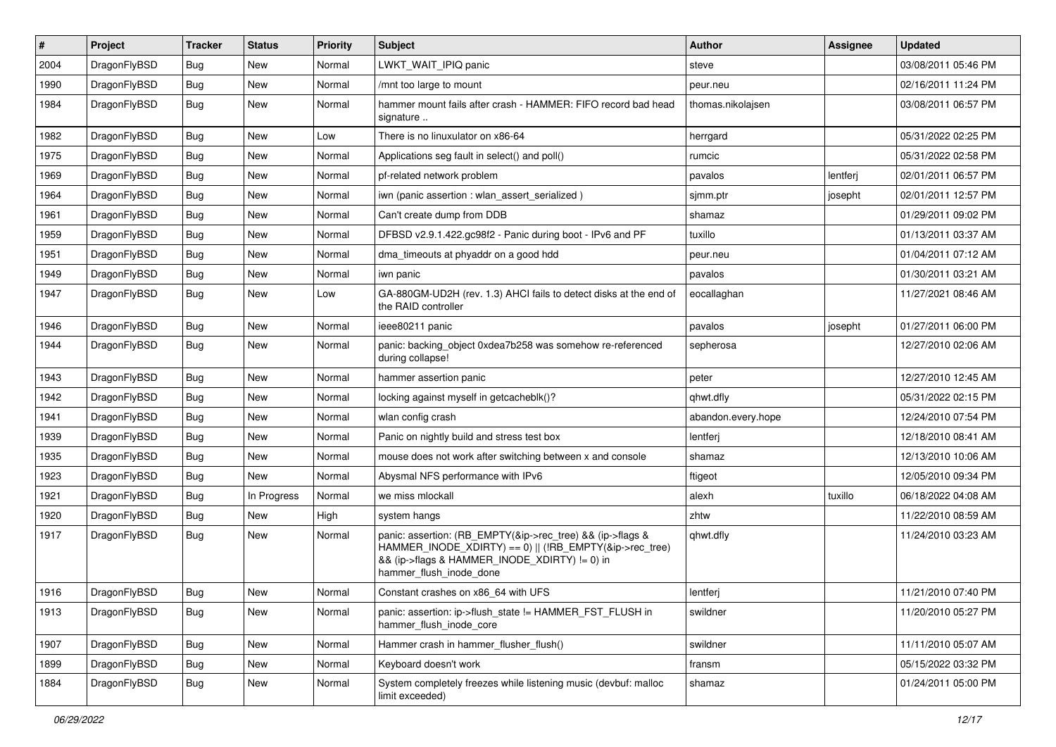| $\vert$ # | Project      | <b>Tracker</b> | <b>Status</b> | <b>Priority</b> | Subject                                                                                                                                                                                           | <b>Author</b>      | Assignee | <b>Updated</b>      |
|-----------|--------------|----------------|---------------|-----------------|---------------------------------------------------------------------------------------------------------------------------------------------------------------------------------------------------|--------------------|----------|---------------------|
| 2004      | DragonFlyBSD | <b>Bug</b>     | New           | Normal          | LWKT_WAIT_IPIQ panic                                                                                                                                                                              | steve              |          | 03/08/2011 05:46 PM |
| 1990      | DragonFlyBSD | <b>Bug</b>     | <b>New</b>    | Normal          | /mnt too large to mount                                                                                                                                                                           | peur.neu           |          | 02/16/2011 11:24 PM |
| 1984      | DragonFlyBSD | <b>Bug</b>     | New           | Normal          | hammer mount fails after crash - HAMMER: FIFO record bad head<br>signature                                                                                                                        | thomas.nikolajsen  |          | 03/08/2011 06:57 PM |
| 1982      | DragonFlyBSD | <b>Bug</b>     | <b>New</b>    | Low             | There is no linuxulator on x86-64                                                                                                                                                                 | herrgard           |          | 05/31/2022 02:25 PM |
| 1975      | DragonFlyBSD | <b>Bug</b>     | New           | Normal          | Applications seg fault in select() and poll()                                                                                                                                                     | rumcic             |          | 05/31/2022 02:58 PM |
| 1969      | DragonFlyBSD | Bug            | <b>New</b>    | Normal          | pf-related network problem                                                                                                                                                                        | pavalos            | lentferj | 02/01/2011 06:57 PM |
| 1964      | DragonFlyBSD | <b>Bug</b>     | New           | Normal          | iwn (panic assertion : wlan assert serialized)                                                                                                                                                    | sjmm.ptr           | josepht  | 02/01/2011 12:57 PM |
| 1961      | DragonFlyBSD | Bug            | New           | Normal          | Can't create dump from DDB                                                                                                                                                                        | shamaz             |          | 01/29/2011 09:02 PM |
| 1959      | DragonFlyBSD | <b>Bug</b>     | <b>New</b>    | Normal          | DFBSD v2.9.1.422.gc98f2 - Panic during boot - IPv6 and PF                                                                                                                                         | tuxillo            |          | 01/13/2011 03:37 AM |
| 1951      | DragonFlyBSD | <b>Bug</b>     | New           | Normal          | dma timeouts at phyaddr on a good hdd                                                                                                                                                             | peur.neu           |          | 01/04/2011 07:12 AM |
| 1949      | DragonFlyBSD | Bug            | New           | Normal          | iwn panic                                                                                                                                                                                         | pavalos            |          | 01/30/2011 03:21 AM |
| 1947      | DragonFlyBSD | Bug            | New           | Low             | GA-880GM-UD2H (rev. 1.3) AHCI fails to detect disks at the end of<br>the RAID controller                                                                                                          | eocallaghan        |          | 11/27/2021 08:46 AM |
| 1946      | DragonFlyBSD | Bug            | New           | Normal          | ieee80211 panic                                                                                                                                                                                   | pavalos            | josepht  | 01/27/2011 06:00 PM |
| 1944      | DragonFlyBSD | Bug            | New           | Normal          | panic: backing object 0xdea7b258 was somehow re-referenced<br>during collapse!                                                                                                                    | sepherosa          |          | 12/27/2010 02:06 AM |
| 1943      | DragonFlyBSD | <b>Bug</b>     | <b>New</b>    | Normal          | hammer assertion panic                                                                                                                                                                            | peter              |          | 12/27/2010 12:45 AM |
| 1942      | DragonFlyBSD | <b>Bug</b>     | <b>New</b>    | Normal          | locking against myself in getcacheblk()?                                                                                                                                                          | qhwt.dfly          |          | 05/31/2022 02:15 PM |
| 1941      | DragonFlyBSD | Bug            | <b>New</b>    | Normal          | wlan config crash                                                                                                                                                                                 | abandon.every.hope |          | 12/24/2010 07:54 PM |
| 1939      | DragonFlyBSD | <b>Bug</b>     | New           | Normal          | Panic on nightly build and stress test box                                                                                                                                                        | lentferj           |          | 12/18/2010 08:41 AM |
| 1935      | DragonFlyBSD | Bug            | New           | Normal          | mouse does not work after switching between x and console                                                                                                                                         | shamaz             |          | 12/13/2010 10:06 AM |
| 1923      | DragonFlyBSD | <b>Bug</b>     | New           | Normal          | Abysmal NFS performance with IPv6                                                                                                                                                                 | ftigeot            |          | 12/05/2010 09:34 PM |
| 1921      | DragonFlyBSD | <b>Bug</b>     | In Progress   | Normal          | we miss mlockall                                                                                                                                                                                  | alexh              | tuxillo  | 06/18/2022 04:08 AM |
| 1920      | DragonFlyBSD | Bug            | New           | High            | system hangs                                                                                                                                                                                      | zhtw               |          | 11/22/2010 08:59 AM |
| 1917      | DragonFlyBSD | Bug            | New           | Normal          | panic: assertion: (RB_EMPTY(&ip->rec_tree) && (ip->flags &<br>HAMMER_INODE_XDIRTY) == 0)    (!RB_EMPTY(&ip->rec_tree)<br>&& (ip->flags & HAMMER_INODE_XDIRTY) != 0) in<br>hammer_flush_inode_done | qhwt.dfly          |          | 11/24/2010 03:23 AM |
| 1916      | DragonFlyBSD | <b>Bug</b>     | New           | Normal          | Constant crashes on x86_64 with UFS                                                                                                                                                               | lentferi           |          | 11/21/2010 07:40 PM |
| 1913      | DragonFlyBSD | Bug            | New           | Normal          | panic: assertion: ip->flush_state != HAMMER_FST_FLUSH in<br>hammer flush inode core                                                                                                               | swildner           |          | 11/20/2010 05:27 PM |
| 1907      | DragonFlyBSD | Bug            | New           | Normal          | Hammer crash in hammer_flusher_flush()                                                                                                                                                            | swildner           |          | 11/11/2010 05:07 AM |
| 1899      | DragonFlyBSD | <b>Bug</b>     | New           | Normal          | Keyboard doesn't work                                                                                                                                                                             | fransm             |          | 05/15/2022 03:32 PM |
| 1884      | DragonFlyBSD | Bug            | New           | Normal          | System completely freezes while listening music (devbuf: malloc<br>limit exceeded)                                                                                                                | shamaz             |          | 01/24/2011 05:00 PM |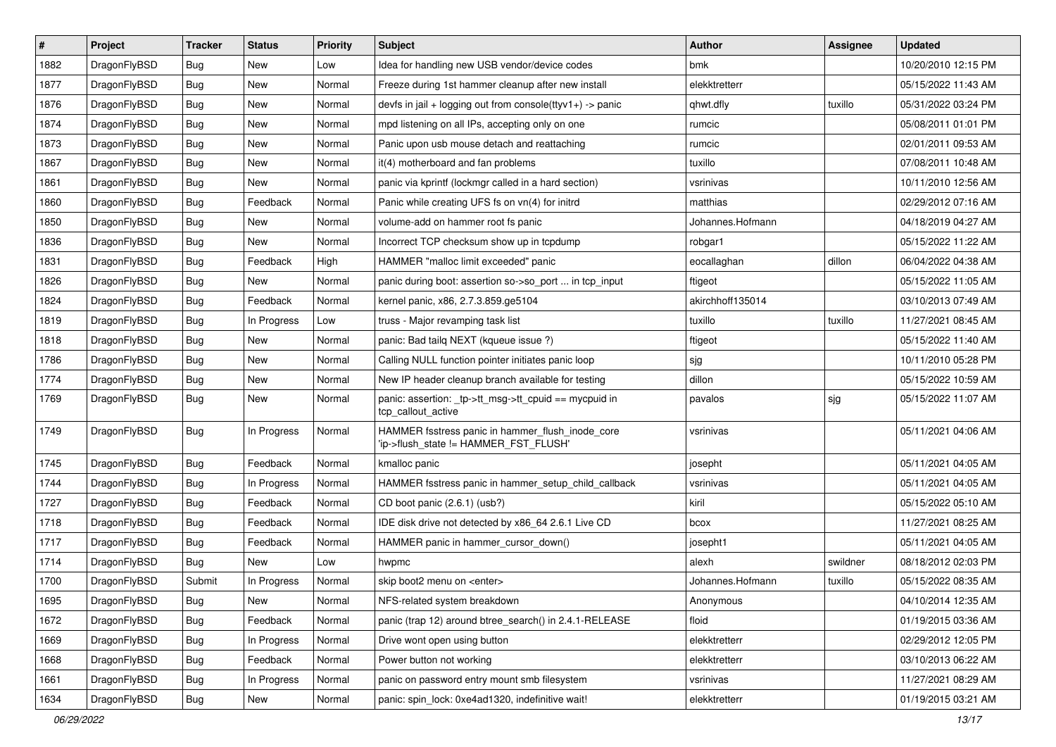| $\vert$ # | Project      | <b>Tracker</b> | <b>Status</b> | <b>Priority</b> | Subject                                                                                   | <b>Author</b>    | <b>Assignee</b> | <b>Updated</b>      |
|-----------|--------------|----------------|---------------|-----------------|-------------------------------------------------------------------------------------------|------------------|-----------------|---------------------|
| 1882      | DragonFlyBSD | Bug            | New           | Low             | Idea for handling new USB vendor/device codes                                             | bmk              |                 | 10/20/2010 12:15 PM |
| 1877      | DragonFlyBSD | Bug            | <b>New</b>    | Normal          | Freeze during 1st hammer cleanup after new install                                        | elekktretterr    |                 | 05/15/2022 11:43 AM |
| 1876      | DragonFlyBSD | <b>Bug</b>     | <b>New</b>    | Normal          | devfs in jail + logging out from console(ttyv1+) -> panic                                 | qhwt.dfly        | tuxillo         | 05/31/2022 03:24 PM |
| 1874      | DragonFlyBSD | <b>Bug</b>     | New           | Normal          | mpd listening on all IPs, accepting only on one                                           | rumcic           |                 | 05/08/2011 01:01 PM |
| 1873      | DragonFlyBSD | Bug            | <b>New</b>    | Normal          | Panic upon usb mouse detach and reattaching                                               | rumcic           |                 | 02/01/2011 09:53 AM |
| 1867      | DragonFlyBSD | <b>Bug</b>     | New           | Normal          | it(4) motherboard and fan problems                                                        | tuxillo          |                 | 07/08/2011 10:48 AM |
| 1861      | DragonFlyBSD | <b>Bug</b>     | New           | Normal          | panic via kprintf (lockmgr called in a hard section)                                      | vsrinivas        |                 | 10/11/2010 12:56 AM |
| 1860      | DragonFlyBSD | <b>Bug</b>     | Feedback      | Normal          | Panic while creating UFS fs on vn(4) for initrd                                           | matthias         |                 | 02/29/2012 07:16 AM |
| 1850      | DragonFlyBSD | Bug            | <b>New</b>    | Normal          | volume-add on hammer root fs panic                                                        | Johannes.Hofmann |                 | 04/18/2019 04:27 AM |
| 1836      | DragonFlyBSD | Bug            | New           | Normal          | Incorrect TCP checksum show up in tcpdump                                                 | robgar1          |                 | 05/15/2022 11:22 AM |
| 1831      | DragonFlyBSD | Bug            | Feedback      | High            | HAMMER "malloc limit exceeded" panic                                                      | eocallaghan      | dillon          | 06/04/2022 04:38 AM |
| 1826      | DragonFlyBSD | Bug            | <b>New</b>    | Normal          | panic during boot: assertion so->so_port  in tcp_input                                    | ftigeot          |                 | 05/15/2022 11:05 AM |
| 1824      | DragonFlyBSD | Bug            | Feedback      | Normal          | kernel panic, x86, 2.7.3.859.ge5104                                                       | akirchhoff135014 |                 | 03/10/2013 07:49 AM |
| 1819      | DragonFlyBSD | Bug            | In Progress   | Low             | truss - Major revamping task list                                                         | tuxillo          | tuxillo         | 11/27/2021 08:45 AM |
| 1818      | DragonFlyBSD | Bug            | <b>New</b>    | Normal          | panic: Bad tailq NEXT (kqueue issue ?)                                                    | ftigeot          |                 | 05/15/2022 11:40 AM |
| 1786      | DragonFlyBSD | Bug            | <b>New</b>    | Normal          | Calling NULL function pointer initiates panic loop                                        | sjg              |                 | 10/11/2010 05:28 PM |
| 1774      | DragonFlyBSD | <b>Bug</b>     | New           | Normal          | New IP header cleanup branch available for testing                                        | dillon           |                 | 05/15/2022 10:59 AM |
| 1769      | DragonFlyBSD | Bug            | New           | Normal          | panic: assertion: _tp->tt_msg->tt_cpuid == mycpuid in<br>tcp callout active               | pavalos          | sjg             | 05/15/2022 11:07 AM |
| 1749      | DragonFlyBSD | Bug            | In Progress   | Normal          | HAMMER fsstress panic in hammer_flush_inode_core<br>'ip->flush_state != HAMMER_FST_FLUSH' | vsrinivas        |                 | 05/11/2021 04:06 AM |
| 1745      | DragonFlyBSD | Bug            | Feedback      | Normal          | kmalloc panic                                                                             | josepht          |                 | 05/11/2021 04:05 AM |
| 1744      | DragonFlyBSD | Bug            | In Progress   | Normal          | HAMMER fsstress panic in hammer_setup_child_callback                                      | vsrinivas        |                 | 05/11/2021 04:05 AM |
| 1727      | DragonFlyBSD | <b>Bug</b>     | Feedback      | Normal          | CD boot panic (2.6.1) (usb?)                                                              | kiril            |                 | 05/15/2022 05:10 AM |
| 1718      | DragonFlyBSD | <b>Bug</b>     | Feedback      | Normal          | IDE disk drive not detected by x86 64 2.6.1 Live CD                                       | bcox             |                 | 11/27/2021 08:25 AM |
| 1717      | DragonFlyBSD | Bug            | Feedback      | Normal          | HAMMER panic in hammer_cursor_down()                                                      | josepht1         |                 | 05/11/2021 04:05 AM |
| 1714      | DragonFlyBSD | <b>Bug</b>     | New           | Low             | hwpmc                                                                                     | alexh            | swildner        | 08/18/2012 02:03 PM |
| 1700      | DragonFlyBSD | Submit         | In Progress   | Normal          | skip boot2 menu on <enter></enter>                                                        | Johannes.Hofmann | tuxillo         | 05/15/2022 08:35 AM |
| 1695      | DragonFlyBSD | <b>Bug</b>     | <b>New</b>    | Normal          | NFS-related system breakdown                                                              | Anonymous        |                 | 04/10/2014 12:35 AM |
| 1672      | DragonFlyBSD | <b>Bug</b>     | Feedback      | Normal          | panic (trap 12) around btree_search() in 2.4.1-RELEASE                                    | floid            |                 | 01/19/2015 03:36 AM |
| 1669      | DragonFlyBSD | <b>Bug</b>     | In Progress   | Normal          | Drive wont open using button                                                              | elekktretterr    |                 | 02/29/2012 12:05 PM |
| 1668      | DragonFlyBSD | <b>Bug</b>     | Feedback      | Normal          | Power button not working                                                                  | elekktretterr    |                 | 03/10/2013 06:22 AM |
| 1661      | DragonFlyBSD | <b>Bug</b>     | In Progress   | Normal          | panic on password entry mount smb filesystem                                              | vsrinivas        |                 | 11/27/2021 08:29 AM |
| 1634      | DragonFlyBSD | <b>Bug</b>     | New           | Normal          | panic: spin_lock: 0xe4ad1320, indefinitive wait!                                          | elekktretterr    |                 | 01/19/2015 03:21 AM |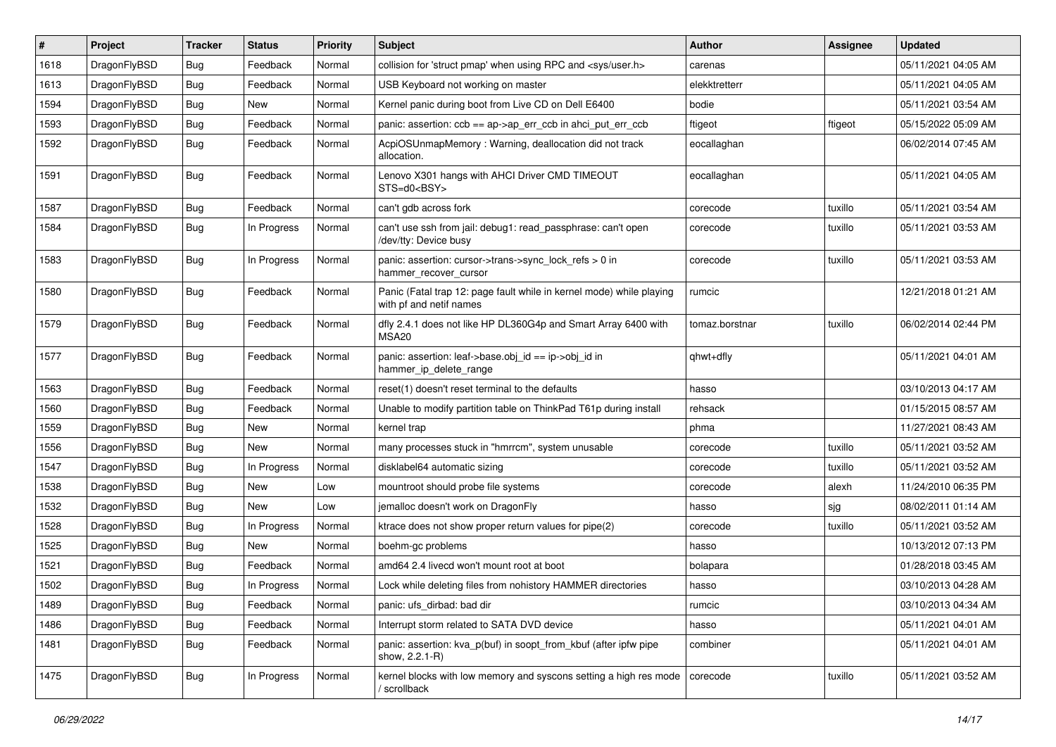| #    | Project      | Tracker    | <b>Status</b> | <b>Priority</b> | <b>Subject</b>                                                                                  | Author         | Assignee | <b>Updated</b>      |
|------|--------------|------------|---------------|-----------------|-------------------------------------------------------------------------------------------------|----------------|----------|---------------------|
| 1618 | DragonFlyBSD | <b>Bug</b> | Feedback      | Normal          | collision for 'struct pmap' when using RPC and <sys user.h=""></sys>                            | carenas        |          | 05/11/2021 04:05 AM |
| 1613 | DragonFlyBSD | <b>Bug</b> | Feedback      | Normal          | USB Keyboard not working on master                                                              | elekktretterr  |          | 05/11/2021 04:05 AM |
| 1594 | DragonFlyBSD | <b>Bug</b> | New           | Normal          | Kernel panic during boot from Live CD on Dell E6400                                             | bodie          |          | 05/11/2021 03:54 AM |
| 1593 | DragonFlyBSD | Bug        | Feedback      | Normal          | panic: assertion: ccb == ap->ap_err_ccb in ahci_put_err_ccb                                     | ftigeot        | ftigeot  | 05/15/2022 05:09 AM |
| 1592 | DragonFlyBSD | <b>Bug</b> | Feedback      | Normal          | AcpiOSUnmapMemory: Warning, deallocation did not track<br>allocation.                           | eocallaghan    |          | 06/02/2014 07:45 AM |
| 1591 | DragonFlyBSD | Bug        | Feedback      | Normal          | Lenovo X301 hangs with AHCI Driver CMD TIMEOUT<br>STS=d0 <bsy></bsy>                            | eocallaghan    |          | 05/11/2021 04:05 AM |
| 1587 | DragonFlyBSD | <b>Bug</b> | Feedback      | Normal          | can't gdb across fork                                                                           | corecode       | tuxillo  | 05/11/2021 03:54 AM |
| 1584 | DragonFlyBSD | <b>Bug</b> | In Progress   | Normal          | can't use ssh from jail: debug1: read_passphrase: can't open<br>/dev/tty: Device busy           | corecode       | tuxillo  | 05/11/2021 03:53 AM |
| 1583 | DragonFlyBSD | <b>Bug</b> | In Progress   | Normal          | panic: assertion: cursor->trans->sync_lock_refs > 0 in<br>hammer_recover_cursor                 | corecode       | tuxillo  | 05/11/2021 03:53 AM |
| 1580 | DragonFlyBSD | <b>Bug</b> | Feedback      | Normal          | Panic (Fatal trap 12: page fault while in kernel mode) while playing<br>with pf and netif names | rumcic         |          | 12/21/2018 01:21 AM |
| 1579 | DragonFlyBSD | <b>Bug</b> | Feedback      | Normal          | dfly 2.4.1 does not like HP DL360G4p and Smart Array 6400 with<br><b>MSA20</b>                  | tomaz.borstnar | tuxillo  | 06/02/2014 02:44 PM |
| 1577 | DragonFlyBSD | <b>Bug</b> | Feedback      | Normal          | panic: assertion: leaf->base.obj_id == ip->obj_id in<br>hammer_ip_delete_range                  | qhwt+dfly      |          | 05/11/2021 04:01 AM |
| 1563 | DragonFlyBSD | <b>Bug</b> | Feedback      | Normal          | reset(1) doesn't reset terminal to the defaults                                                 | hasso          |          | 03/10/2013 04:17 AM |
| 1560 | DragonFlyBSD | <b>Bug</b> | Feedback      | Normal          | Unable to modify partition table on ThinkPad T61p during install                                | rehsack        |          | 01/15/2015 08:57 AM |
| 1559 | DragonFlyBSD | <b>Bug</b> | New           | Normal          | kernel trap                                                                                     | phma           |          | 11/27/2021 08:43 AM |
| 1556 | DragonFlyBSD | <b>Bug</b> | New           | Normal          | many processes stuck in "hmrrcm", system unusable                                               | corecode       | tuxillo  | 05/11/2021 03:52 AM |
| 1547 | DragonFlyBSD | <b>Bug</b> | In Progress   | Normal          | disklabel64 automatic sizing                                                                    | corecode       | tuxillo  | 05/11/2021 03:52 AM |
| 1538 | DragonFlyBSD | <b>Bug</b> | New           | Low             | mountroot should probe file systems                                                             | corecode       | alexh    | 11/24/2010 06:35 PM |
| 1532 | DragonFlyBSD | <b>Bug</b> | <b>New</b>    | Low             | jemalloc doesn't work on DragonFly                                                              | hasso          | sjg      | 08/02/2011 01:14 AM |
| 1528 | DragonFlyBSD | <b>Bug</b> | In Progress   | Normal          | ktrace does not show proper return values for pipe(2)                                           | corecode       | tuxillo  | 05/11/2021 03:52 AM |
| 1525 | DragonFlyBSD | <b>Bug</b> | New           | Normal          | boehm-gc problems                                                                               | hasso          |          | 10/13/2012 07:13 PM |
| 1521 | DragonFlyBSD | <b>Bug</b> | Feedback      | Normal          | amd64 2.4 livecd won't mount root at boot                                                       | bolapara       |          | 01/28/2018 03:45 AM |
| 1502 | DragonFlyBSD | <b>Bug</b> | In Progress   | Normal          | Lock while deleting files from nohistory HAMMER directories                                     | hasso          |          | 03/10/2013 04:28 AM |
| 1489 | DragonFlyBSD | <b>Bug</b> | Feedback      | Normal          | panic: ufs dirbad: bad dir                                                                      | rumcic         |          | 03/10/2013 04:34 AM |
| 1486 | DragonFlyBSD | <b>Bug</b> | Feedback      | Normal          | Interrupt storm related to SATA DVD device                                                      | hasso          |          | 05/11/2021 04:01 AM |
| 1481 | DragonFlyBSD | Bug        | Feedback      | Normal          | panic: assertion: kva p(buf) in soopt from kbuf (after ipfw pipe<br>show, 2.2.1-R)              | combiner       |          | 05/11/2021 04:01 AM |
| 1475 | DragonFlyBSD | <b>Bug</b> | In Progress   | Normal          | kernel blocks with low memory and syscons setting a high res mode<br>/ scrollback               | corecode       | tuxillo  | 05/11/2021 03:52 AM |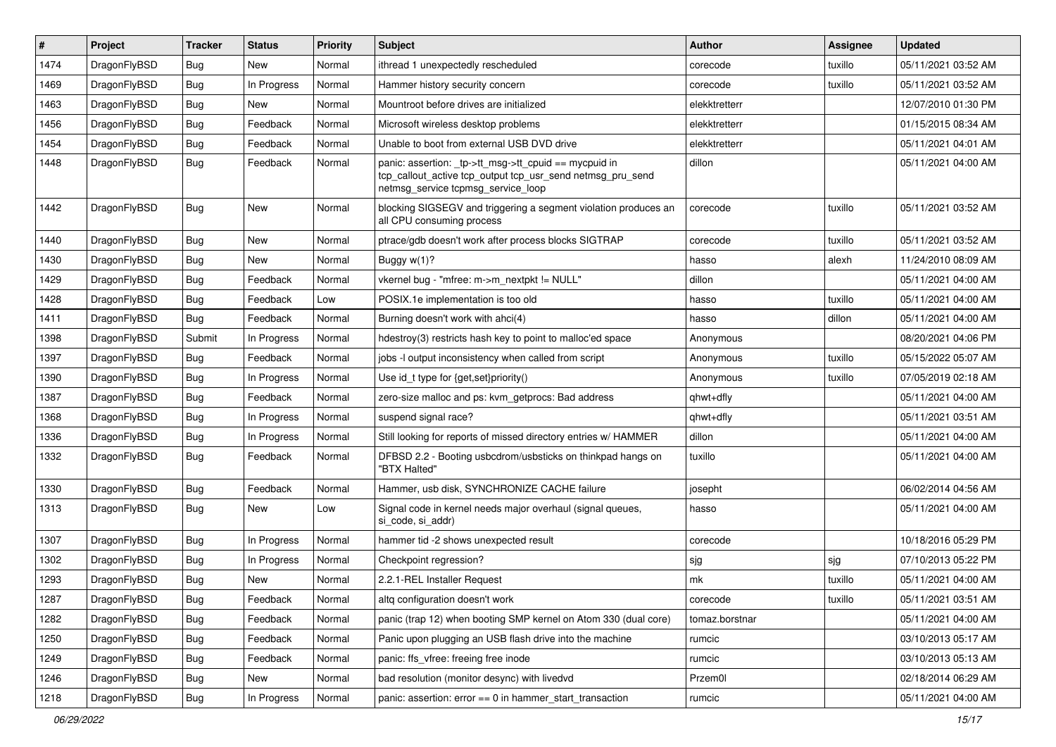| $\#$ | Project      | <b>Tracker</b> | <b>Status</b> | <b>Priority</b> | Subject                                                                                                                                                   | <b>Author</b>  | <b>Assignee</b> | <b>Updated</b>      |
|------|--------------|----------------|---------------|-----------------|-----------------------------------------------------------------------------------------------------------------------------------------------------------|----------------|-----------------|---------------------|
| 1474 | DragonFlyBSD | <b>Bug</b>     | New           | Normal          | ithread 1 unexpectedly rescheduled                                                                                                                        | corecode       | tuxillo         | 05/11/2021 03:52 AM |
| 1469 | DragonFlyBSD | <b>Bug</b>     | In Progress   | Normal          | Hammer history security concern                                                                                                                           | corecode       | tuxillo         | 05/11/2021 03:52 AM |
| 1463 | DragonFlyBSD | <b>Bug</b>     | New           | Normal          | Mountroot before drives are initialized                                                                                                                   | elekktretterr  |                 | 12/07/2010 01:30 PM |
| 1456 | DragonFlyBSD | Bug            | Feedback      | Normal          | Microsoft wireless desktop problems                                                                                                                       | elekktretterr  |                 | 01/15/2015 08:34 AM |
| 1454 | DragonFlyBSD | <b>Bug</b>     | Feedback      | Normal          | Unable to boot from external USB DVD drive                                                                                                                | elekktretterr  |                 | 05/11/2021 04:01 AM |
| 1448 | DragonFlyBSD | Bug            | Feedback      | Normal          | panic: assertion: _tp->tt_msg->tt_cpuid == mycpuid in<br>tcp_callout_active tcp_output tcp_usr_send netmsg_pru_send<br>netmsg_service tcpmsg_service_loop | dillon         |                 | 05/11/2021 04:00 AM |
| 1442 | DragonFlyBSD | <b>Bug</b>     | <b>New</b>    | Normal          | blocking SIGSEGV and triggering a segment violation produces an<br>all CPU consuming process                                                              | corecode       | tuxillo         | 05/11/2021 03:52 AM |
| 1440 | DragonFlyBSD | <b>Bug</b>     | <b>New</b>    | Normal          | ptrace/gdb doesn't work after process blocks SIGTRAP                                                                                                      | corecode       | tuxillo         | 05/11/2021 03:52 AM |
| 1430 | DragonFlyBSD | Bug            | New           | Normal          | Buggy w(1)?                                                                                                                                               | hasso          | alexh           | 11/24/2010 08:09 AM |
| 1429 | DragonFlyBSD | <b>Bug</b>     | Feedback      | Normal          | vkernel bug - "mfree: m->m_nextpkt != NULL"                                                                                                               | dillon         |                 | 05/11/2021 04:00 AM |
| 1428 | DragonFlyBSD | <b>Bug</b>     | Feedback      | Low             | POSIX.1e implementation is too old                                                                                                                        | hasso          | tuxillo         | 05/11/2021 04:00 AM |
| 1411 | DragonFlyBSD | Bug            | Feedback      | Normal          | Burning doesn't work with ahci(4)                                                                                                                         | hasso          | dillon          | 05/11/2021 04:00 AM |
| 1398 | DragonFlyBSD | Submit         | In Progress   | Normal          | hdestroy(3) restricts hash key to point to malloc'ed space                                                                                                | Anonymous      |                 | 08/20/2021 04:06 PM |
| 1397 | DragonFlyBSD | Bug            | Feedback      | Normal          | jobs -I output inconsistency when called from script                                                                                                      | Anonymous      | tuxillo         | 05/15/2022 05:07 AM |
| 1390 | DragonFlyBSD | <b>Bug</b>     | In Progress   | Normal          | Use id_t type for {get,set}priority()                                                                                                                     | Anonymous      | tuxillo         | 07/05/2019 02:18 AM |
| 1387 | DragonFlyBSD | <b>Bug</b>     | Feedback      | Normal          | zero-size malloc and ps: kvm_getprocs: Bad address                                                                                                        | qhwt+dfly      |                 | 05/11/2021 04:00 AM |
| 1368 | DragonFlyBSD | Bug            | In Progress   | Normal          | suspend signal race?                                                                                                                                      | qhwt+dfly      |                 | 05/11/2021 03:51 AM |
| 1336 | DragonFlyBSD | <b>Bug</b>     | In Progress   | Normal          | Still looking for reports of missed directory entries w/ HAMMER                                                                                           | dillon         |                 | 05/11/2021 04:00 AM |
| 1332 | DragonFlyBSD | <b>Bug</b>     | Feedback      | Normal          | DFBSD 2.2 - Booting usbcdrom/usbsticks on thinkpad hangs on<br>"BTX Halted"                                                                               | tuxillo        |                 | 05/11/2021 04:00 AM |
| 1330 | DragonFlyBSD | <b>Bug</b>     | Feedback      | Normal          | Hammer, usb disk, SYNCHRONIZE CACHE failure                                                                                                               | josepht        |                 | 06/02/2014 04:56 AM |
| 1313 | DragonFlyBSD | <b>Bug</b>     | New           | Low             | Signal code in kernel needs major overhaul (signal queues,<br>si code, si addr)                                                                           | hasso          |                 | 05/11/2021 04:00 AM |
| 1307 | DragonFlyBSD | <b>Bug</b>     | In Progress   | Normal          | hammer tid -2 shows unexpected result                                                                                                                     | corecode       |                 | 10/18/2016 05:29 PM |
| 1302 | DragonFlyBSD | Bug            | In Progress   | Normal          | Checkpoint regression?                                                                                                                                    | sjg            | sjg             | 07/10/2013 05:22 PM |
| 1293 | DragonFlyBSD | Bug            | New           | Normal          | 2.2.1-REL Installer Request                                                                                                                               | mk             | tuxillo         | 05/11/2021 04:00 AM |
| 1287 | DragonFlyBSD | <b>Bug</b>     | Feedback      | Normal          | altq configuration doesn't work                                                                                                                           | corecode       | tuxillo         | 05/11/2021 03:51 AM |
| 1282 | DragonFlyBSD | Bug            | Feedback      | Normal          | panic (trap 12) when booting SMP kernel on Atom 330 (dual core)                                                                                           | tomaz.borstnar |                 | 05/11/2021 04:00 AM |
| 1250 | DragonFlyBSD | <b>Bug</b>     | Feedback      | Normal          | Panic upon plugging an USB flash drive into the machine                                                                                                   | rumcic         |                 | 03/10/2013 05:17 AM |
| 1249 | DragonFlyBSD | Bug            | Feedback      | Normal          | panic: ffs vfree: freeing free inode                                                                                                                      | rumcic         |                 | 03/10/2013 05:13 AM |
| 1246 | DragonFlyBSD | <b>Bug</b>     | New           | Normal          | bad resolution (monitor desync) with livedvd                                                                                                              | Przem0l        |                 | 02/18/2014 06:29 AM |
| 1218 | DragonFlyBSD | Bug            | In Progress   | Normal          | panic: assertion: error == 0 in hammer_start_transaction                                                                                                  | rumcic         |                 | 05/11/2021 04:00 AM |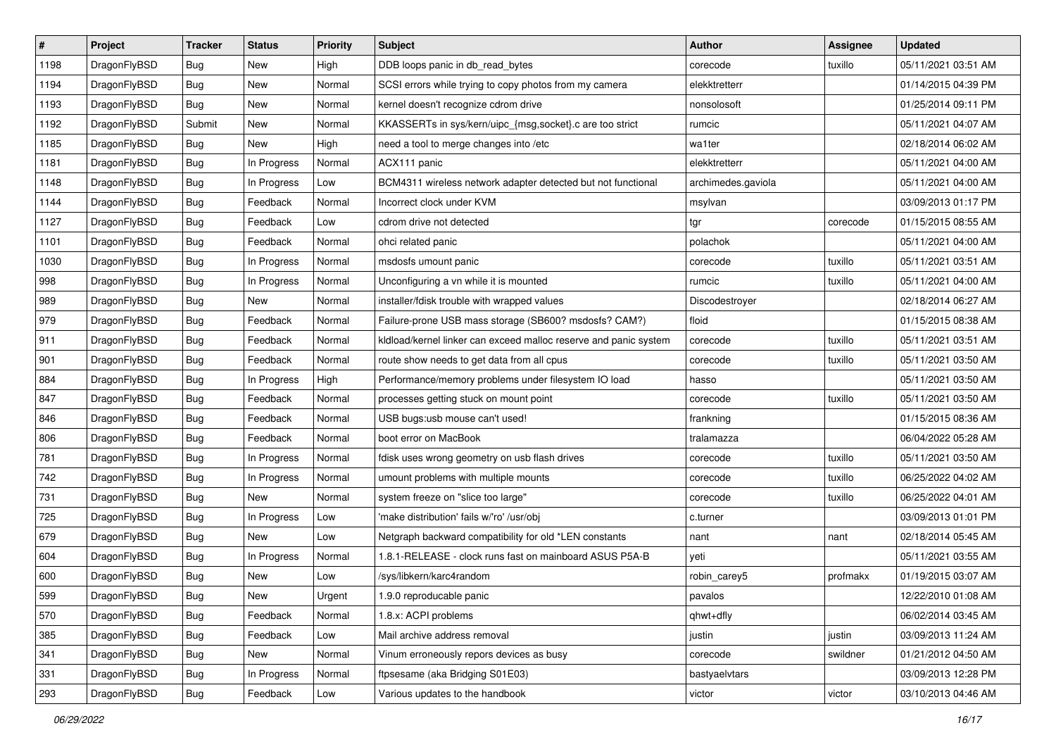| $\sharp$ | Project      | <b>Tracker</b> | <b>Status</b> | <b>Priority</b> | Subject                                                          | <b>Author</b>      | <b>Assignee</b> | <b>Updated</b>      |
|----------|--------------|----------------|---------------|-----------------|------------------------------------------------------------------|--------------------|-----------------|---------------------|
| 1198     | DragonFlyBSD | Bug            | <b>New</b>    | High            | DDB loops panic in db_read_bytes                                 | corecode           | tuxillo         | 05/11/2021 03:51 AM |
| 1194     | DragonFlyBSD | <b>Bug</b>     | <b>New</b>    | Normal          | SCSI errors while trying to copy photos from my camera           | elekktretterr      |                 | 01/14/2015 04:39 PM |
| 1193     | DragonFlyBSD | <b>Bug</b>     | <b>New</b>    | Normal          | kernel doesn't recognize cdrom drive                             | nonsolosoft        |                 | 01/25/2014 09:11 PM |
| 1192     | DragonFlyBSD | Submit         | New           | Normal          | KKASSERTs in sys/kern/uipc_{msg,socket}.c are too strict         | rumcic             |                 | 05/11/2021 04:07 AM |
| 1185     | DragonFlyBSD | <b>Bug</b>     | <b>New</b>    | High            | need a tool to merge changes into /etc                           | wa1ter             |                 | 02/18/2014 06:02 AM |
| 1181     | DragonFlyBSD | <b>Bug</b>     | In Progress   | Normal          | ACX111 panic                                                     | elekktretterr      |                 | 05/11/2021 04:00 AM |
| 1148     | DragonFlyBSD | Bug            | In Progress   | Low             | BCM4311 wireless network adapter detected but not functional     | archimedes.gaviola |                 | 05/11/2021 04:00 AM |
| 1144     | DragonFlyBSD | Bug            | Feedback      | Normal          | Incorrect clock under KVM                                        | msylvan            |                 | 03/09/2013 01:17 PM |
| 1127     | DragonFlyBSD | <b>Bug</b>     | Feedback      | Low             | cdrom drive not detected                                         | tgr                | corecode        | 01/15/2015 08:55 AM |
| 1101     | DragonFlyBSD | Bug            | Feedback      | Normal          | ohci related panic                                               | polachok           |                 | 05/11/2021 04:00 AM |
| 1030     | DragonFlyBSD | Bug            | In Progress   | Normal          | msdosfs umount panic                                             | corecode           | tuxillo         | 05/11/2021 03:51 AM |
| 998      | DragonFlyBSD | <b>Bug</b>     | In Progress   | Normal          | Unconfiguring a vn while it is mounted                           | rumcic             | tuxillo         | 05/11/2021 04:00 AM |
| 989      | DragonFlyBSD | <b>Bug</b>     | New           | Normal          | installer/fdisk trouble with wrapped values                      | Discodestroyer     |                 | 02/18/2014 06:27 AM |
| 979      | DragonFlyBSD | Bug            | Feedback      | Normal          | Failure-prone USB mass storage (SB600? msdosfs? CAM?)            | floid              |                 | 01/15/2015 08:38 AM |
| 911      | DragonFlyBSD | Bug            | Feedback      | Normal          | kidload/kernel linker can exceed malloc reserve and panic system | corecode           | tuxillo         | 05/11/2021 03:51 AM |
| 901      | DragonFlyBSD | <b>Bug</b>     | Feedback      | Normal          | route show needs to get data from all cpus                       | corecode           | tuxillo         | 05/11/2021 03:50 AM |
| 884      | DragonFlyBSD | <b>Bug</b>     | In Progress   | High            | Performance/memory problems under filesystem IO load             | hasso              |                 | 05/11/2021 03:50 AM |
| 847      | DragonFlyBSD | Bug            | Feedback      | Normal          | processes getting stuck on mount point                           | corecode           | tuxillo         | 05/11/2021 03:50 AM |
| 846      | DragonFlyBSD | <b>Bug</b>     | Feedback      | Normal          | USB bugs:usb mouse can't used!                                   | frankning          |                 | 01/15/2015 08:36 AM |
| 806      | DragonFlyBSD | Bug            | Feedback      | Normal          | boot error on MacBook                                            | tralamazza         |                 | 06/04/2022 05:28 AM |
| 781      | DragonFlyBSD | <b>Bug</b>     | In Progress   | Normal          | fdisk uses wrong geometry on usb flash drives                    | corecode           | tuxillo         | 05/11/2021 03:50 AM |
| 742      | DragonFlyBSD | <b>Bug</b>     | In Progress   | Normal          | umount problems with multiple mounts                             | corecode           | tuxillo         | 06/25/2022 04:02 AM |
| 731      | DragonFlyBSD | Bug            | New           | Normal          | system freeze on "slice too large"                               | corecode           | tuxillo         | 06/25/2022 04:01 AM |
| 725      | DragonFlyBSD | <b>Bug</b>     | In Progress   | Low             | 'make distribution' fails w/'ro' /usr/obj                        | c.turner           |                 | 03/09/2013 01:01 PM |
| 679      | DragonFlyBSD | Bug            | <b>New</b>    | Low             | Netgraph backward compatibility for old *LEN constants           | nant               | nant            | 02/18/2014 05:45 AM |
| 604      | DragonFlyBSD | Bug            | In Progress   | Normal          | 1.8.1-RELEASE - clock runs fast on mainboard ASUS P5A-B          | yeti               |                 | 05/11/2021 03:55 AM |
| 600      | DragonFlyBSD | Bug            | New           | Low             | /sys/libkern/karc4random                                         | robin_carey5       | profmakx        | 01/19/2015 03:07 AM |
| 599      | DragonFlyBSD | <b>Bug</b>     | New           | Urgent          | 1.9.0 reproducable panic                                         | pavalos            |                 | 12/22/2010 01:08 AM |
| 570      | DragonFlyBSD | <b>Bug</b>     | Feedback      | Normal          | 1.8.x: ACPI problems                                             | qhwt+dfly          |                 | 06/02/2014 03:45 AM |
| 385      | DragonFlyBSD | <b>Bug</b>     | Feedback      | Low             | Mail archive address removal                                     | justin             | justin          | 03/09/2013 11:24 AM |
| 341      | DragonFlyBSD | <b>Bug</b>     | New           | Normal          | Vinum erroneously repors devices as busy                         | corecode           | swildner        | 01/21/2012 04:50 AM |
| 331      | DragonFlyBSD | <b>Bug</b>     | In Progress   | Normal          | ftpsesame (aka Bridging S01E03)                                  | bastyaelvtars      |                 | 03/09/2013 12:28 PM |
| 293      | DragonFlyBSD | Bug            | Feedback      | Low             | Various updates to the handbook                                  | victor             | victor          | 03/10/2013 04:46 AM |